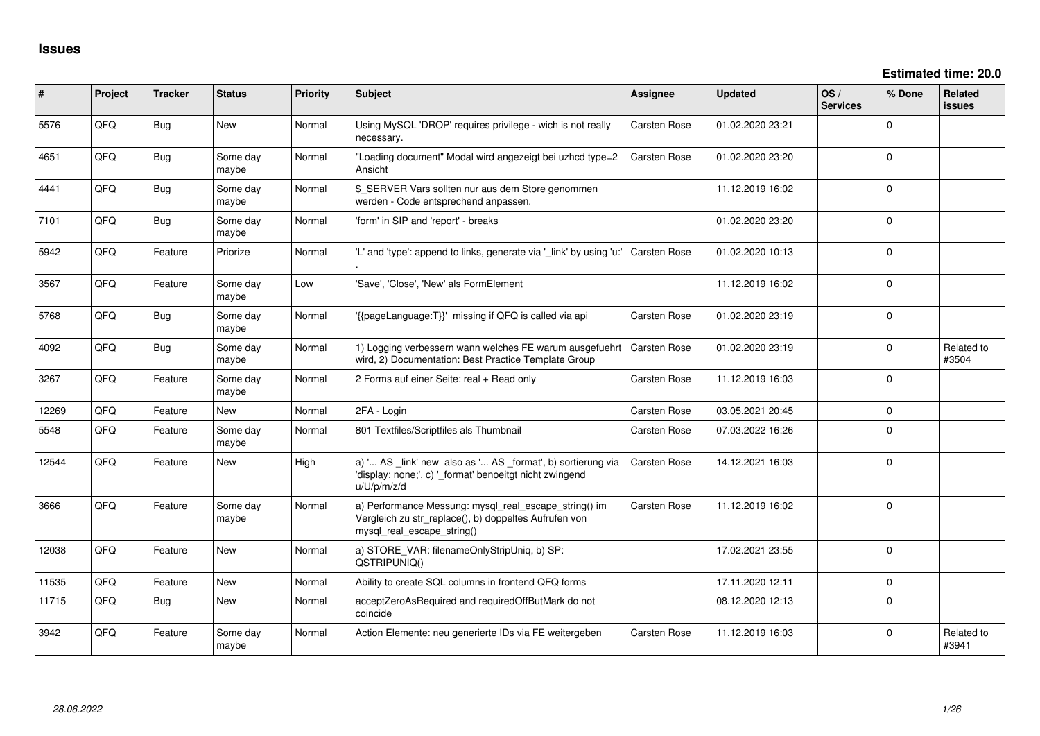| #     | Project | <b>Tracker</b> | <b>Status</b>     | <b>Priority</b> | <b>Subject</b>                                                                                                                               | <b>Assignee</b>     | <b>Updated</b>   | OS/<br><b>Services</b> | % Done      | Related<br>issues   |
|-------|---------|----------------|-------------------|-----------------|----------------------------------------------------------------------------------------------------------------------------------------------|---------------------|------------------|------------------------|-------------|---------------------|
| 5576  | QFQ     | Bug            | New               | Normal          | Using MySQL 'DROP' requires privilege - wich is not really<br>necessary.                                                                     | Carsten Rose        | 01.02.2020 23:21 |                        | $\mathbf 0$ |                     |
| 4651  | QFQ     | Bug            | Some day<br>maybe | Normal          | "Loading document" Modal wird angezeigt bei uzhcd type=2<br>Ansicht                                                                          | Carsten Rose        | 01.02.2020 23:20 |                        | $\mathbf 0$ |                     |
| 4441  | QFQ     | Bug            | Some day<br>maybe | Normal          | \$_SERVER Vars sollten nur aus dem Store genommen<br>werden - Code entsprechend anpassen.                                                    |                     | 11.12.2019 16:02 |                        | $\mathbf 0$ |                     |
| 7101  | QFQ     | Bug            | Some day<br>maybe | Normal          | 'form' in SIP and 'report' - breaks                                                                                                          |                     | 01.02.2020 23:20 |                        | $\mathbf 0$ |                     |
| 5942  | QFQ     | Feature        | Priorize          | Normal          | 'L' and 'type': append to links, generate via '_link' by using 'u:'                                                                          | <b>Carsten Rose</b> | 01.02.2020 10:13 |                        | $\Omega$    |                     |
| 3567  | QFQ     | Feature        | Some day<br>maybe | Low             | 'Save', 'Close', 'New' als FormElement                                                                                                       |                     | 11.12.2019 16:02 |                        | $\Omega$    |                     |
| 5768  | QFQ     | Bug            | Some day<br>maybe | Normal          | '{{pageLanguage:T}}' missing if QFQ is called via api                                                                                        | Carsten Rose        | 01.02.2020 23:19 |                        | $\Omega$    |                     |
| 4092  | QFQ     | Bug            | Some day<br>maybe | Normal          | 1) Logging verbessern wann welches FE warum ausgefuehrt<br>wird, 2) Documentation: Best Practice Template Group                              | <b>Carsten Rose</b> | 01.02.2020 23:19 |                        | $\Omega$    | Related to<br>#3504 |
| 3267  | QFQ     | Feature        | Some day<br>maybe | Normal          | 2 Forms auf einer Seite: real + Read only                                                                                                    | <b>Carsten Rose</b> | 11.12.2019 16:03 |                        | $\Omega$    |                     |
| 12269 | QFQ     | Feature        | New               | Normal          | 2FA - Login                                                                                                                                  | Carsten Rose        | 03.05.2021 20:45 |                        | $\mathbf 0$ |                     |
| 5548  | QFQ     | Feature        | Some day<br>maybe | Normal          | 801 Textfiles/Scriptfiles als Thumbnail                                                                                                      | Carsten Rose        | 07.03.2022 16:26 |                        | $\Omega$    |                     |
| 12544 | QFQ     | Feature        | <b>New</b>        | High            | a) ' AS _link' new also as ' AS _format', b) sortierung via<br>'display: none;', c) '_format' benoeitgt nicht zwingend<br>u/U/p/m/z/d        | Carsten Rose        | 14.12.2021 16:03 |                        | $\Omega$    |                     |
| 3666  | QFQ     | Feature        | Some day<br>maybe | Normal          | a) Performance Messung: mysql_real_escape_string() im<br>Vergleich zu str_replace(), b) doppeltes Aufrufen von<br>mysql real escape string() | <b>Carsten Rose</b> | 11.12.2019 16:02 |                        | $\Omega$    |                     |
| 12038 | QFQ     | Feature        | New               | Normal          | a) STORE_VAR: filenameOnlyStripUniq, b) SP:<br>QSTRIPUNIQ()                                                                                  |                     | 17.02.2021 23:55 |                        | $\Omega$    |                     |
| 11535 | QFQ     | Feature        | New               | Normal          | Ability to create SQL columns in frontend QFQ forms                                                                                          |                     | 17.11.2020 12:11 |                        | $\mathbf 0$ |                     |
| 11715 | QFQ     | <b>Bug</b>     | <b>New</b>        | Normal          | acceptZeroAsRequired and requiredOffButMark do not<br>coincide                                                                               |                     | 08.12.2020 12:13 |                        | $\mathbf 0$ |                     |
| 3942  | QFQ     | Feature        | Some day<br>maybe | Normal          | Action Elemente: neu generierte IDs via FE weitergeben                                                                                       | <b>Carsten Rose</b> | 11.12.2019 16:03 |                        | $\Omega$    | Related to<br>#3941 |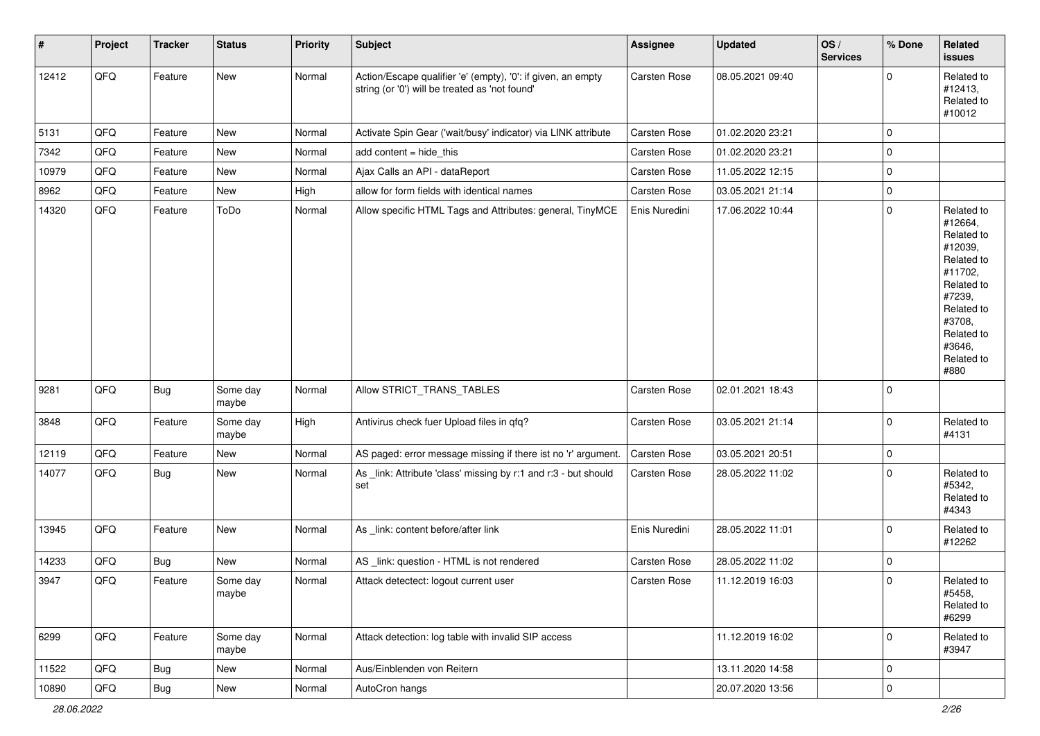| $\vert$ # | Project        | <b>Tracker</b> | <b>Status</b>     | <b>Priority</b> | <b>Subject</b>                                                                                                 | Assignee      | <b>Updated</b>   | OS/<br><b>Services</b> | % Done      | Related<br>issues                                                                                                                                                     |
|-----------|----------------|----------------|-------------------|-----------------|----------------------------------------------------------------------------------------------------------------|---------------|------------------|------------------------|-------------|-----------------------------------------------------------------------------------------------------------------------------------------------------------------------|
| 12412     | QFQ            | Feature        | <b>New</b>        | Normal          | Action/Escape qualifier 'e' (empty), '0': if given, an empty<br>string (or '0') will be treated as 'not found' | Carsten Rose  | 08.05.2021 09:40 |                        | $\mathbf 0$ | Related to<br>#12413,<br>Related to<br>#10012                                                                                                                         |
| 5131      | QFQ            | Feature        | <b>New</b>        | Normal          | Activate Spin Gear ('wait/busy' indicator) via LINK attribute                                                  | Carsten Rose  | 01.02.2020 23:21 |                        | $\mathbf 0$ |                                                                                                                                                                       |
| 7342      | QFQ            | Feature        | <b>New</b>        | Normal          | add content = hide_this                                                                                        | Carsten Rose  | 01.02.2020 23:21 |                        | $\mathbf 0$ |                                                                                                                                                                       |
| 10979     | QFQ            | Feature        | <b>New</b>        | Normal          | Ajax Calls an API - dataReport                                                                                 | Carsten Rose  | 11.05.2022 12:15 |                        | $\mathbf 0$ |                                                                                                                                                                       |
| 8962      | QFQ            | Feature        | New               | High            | allow for form fields with identical names                                                                     | Carsten Rose  | 03.05.2021 21:14 |                        | $\pmb{0}$   |                                                                                                                                                                       |
| 14320     | QFQ            | Feature        | ToDo              | Normal          | Allow specific HTML Tags and Attributes: general, TinyMCE                                                      | Enis Nuredini | 17.06.2022 10:44 |                        | $\mathbf 0$ | Related to<br>#12664,<br>Related to<br>#12039,<br>Related to<br>#11702,<br>Related to<br>#7239,<br>Related to<br>#3708,<br>Related to<br>#3646,<br>Related to<br>#880 |
| 9281      | QFQ            | <b>Bug</b>     | Some day<br>maybe | Normal          | Allow STRICT_TRANS_TABLES                                                                                      | Carsten Rose  | 02.01.2021 18:43 |                        | $\mathbf 0$ |                                                                                                                                                                       |
| 3848      | QFQ            | Feature        | Some day<br>maybe | High            | Antivirus check fuer Upload files in qfq?                                                                      | Carsten Rose  | 03.05.2021 21:14 |                        | $\mathbf 0$ | Related to<br>#4131                                                                                                                                                   |
| 12119     | QFQ            | Feature        | New               | Normal          | AS paged: error message missing if there ist no 'r' argument.                                                  | Carsten Rose  | 03.05.2021 20:51 |                        | $\mathbf 0$ |                                                                                                                                                                       |
| 14077     | QFQ            | Bug            | New               | Normal          | As _link: Attribute 'class' missing by r:1 and r:3 - but should<br>set                                         | Carsten Rose  | 28.05.2022 11:02 |                        | $\mathbf 0$ | Related to<br>#5342,<br>Related to<br>#4343                                                                                                                           |
| 13945     | QFQ            | Feature        | New               | Normal          | As _link: content before/after link                                                                            | Enis Nuredini | 28.05.2022 11:01 |                        | $\mathbf 0$ | Related to<br>#12262                                                                                                                                                  |
| 14233     | QFQ            | <b>Bug</b>     | <b>New</b>        | Normal          | AS _link: question - HTML is not rendered                                                                      | Carsten Rose  | 28.05.2022 11:02 |                        | $\mathbf 0$ |                                                                                                                                                                       |
| 3947      | QFQ            | Feature        | Some day<br>maybe | Normal          | Attack detectect: logout current user                                                                          | Carsten Rose  | 11.12.2019 16:03 |                        | $\mathbf 0$ | Related to<br>#5458,<br>Related to<br>#6299                                                                                                                           |
| 6299      | QFQ            | Feature        | Some day<br>maybe | Normal          | Attack detection: log table with invalid SIP access                                                            |               | 11.12.2019 16:02 |                        | $\mathbf 0$ | Related to<br>#3947                                                                                                                                                   |
| 11522     | QFQ            | Bug            | New               | Normal          | Aus/Einblenden von Reitern                                                                                     |               | 13.11.2020 14:58 |                        | $\mathbf 0$ |                                                                                                                                                                       |
| 10890     | $\mathsf{QFQ}$ | Bug            | New               | Normal          | AutoCron hangs                                                                                                 |               | 20.07.2020 13:56 |                        | $\mathsf 0$ |                                                                                                                                                                       |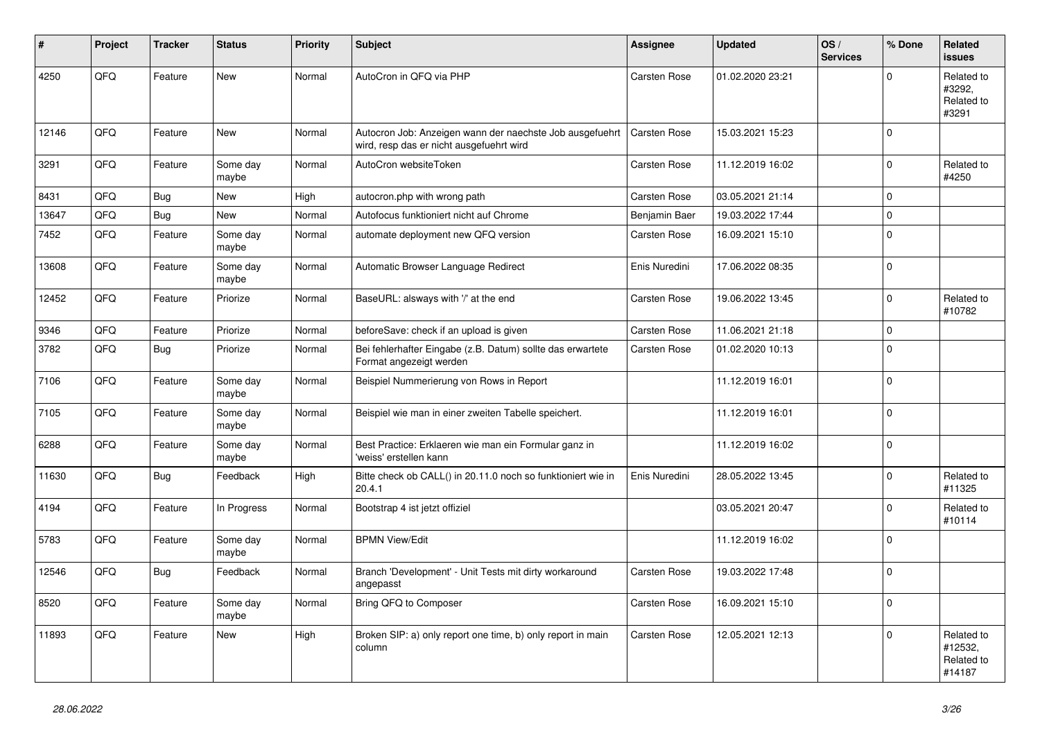| #     | Project | <b>Tracker</b> | <b>Status</b>     | <b>Priority</b> | <b>Subject</b>                                                                                       | Assignee      | <b>Updated</b>   | OS/<br><b>Services</b> | % Done       | Related<br><b>issues</b>                      |
|-------|---------|----------------|-------------------|-----------------|------------------------------------------------------------------------------------------------------|---------------|------------------|------------------------|--------------|-----------------------------------------------|
| 4250  | QFQ     | Feature        | New               | Normal          | AutoCron in QFQ via PHP                                                                              | Carsten Rose  | 01.02.2020 23:21 |                        | $\Omega$     | Related to<br>#3292,<br>Related to<br>#3291   |
| 12146 | QFQ     | Feature        | New               | Normal          | Autocron Job: Anzeigen wann der naechste Job ausgefuehrt<br>wird, resp das er nicht ausgefuehrt wird | Carsten Rose  | 15.03.2021 15:23 |                        | $\mathbf{0}$ |                                               |
| 3291  | QFQ     | Feature        | Some day<br>maybe | Normal          | AutoCron websiteToken                                                                                | Carsten Rose  | 11.12.2019 16:02 |                        | $\mathbf{0}$ | Related to<br>#4250                           |
| 8431  | QFQ     | Bug            | <b>New</b>        | High            | autocron.php with wrong path                                                                         | Carsten Rose  | 03.05.2021 21:14 |                        | $\mathbf 0$  |                                               |
| 13647 | QFQ     | Bug            | New               | Normal          | Autofocus funktioniert nicht auf Chrome                                                              | Benjamin Baer | 19.03.2022 17:44 |                        | $\mathbf 0$  |                                               |
| 7452  | QFQ     | Feature        | Some day<br>maybe | Normal          | automate deployment new QFQ version                                                                  | Carsten Rose  | 16.09.2021 15:10 |                        | $\Omega$     |                                               |
| 13608 | QFQ     | Feature        | Some day<br>maybe | Normal          | Automatic Browser Language Redirect                                                                  | Enis Nuredini | 17.06.2022 08:35 |                        | $\mathbf{0}$ |                                               |
| 12452 | QFQ     | Feature        | Priorize          | Normal          | BaseURL: alsways with '/' at the end                                                                 | Carsten Rose  | 19.06.2022 13:45 |                        | $\mathbf 0$  | Related to<br>#10782                          |
| 9346  | QFQ     | Feature        | Priorize          | Normal          | beforeSave: check if an upload is given                                                              | Carsten Rose  | 11.06.2021 21:18 |                        | $\mathbf 0$  |                                               |
| 3782  | QFQ     | Bug            | Priorize          | Normal          | Bei fehlerhafter Eingabe (z.B. Datum) sollte das erwartete<br>Format angezeigt werden                | Carsten Rose  | 01.02.2020 10:13 |                        | $\Omega$     |                                               |
| 7106  | QFQ     | Feature        | Some day<br>maybe | Normal          | Beispiel Nummerierung von Rows in Report                                                             |               | 11.12.2019 16:01 |                        | $\mathbf{0}$ |                                               |
| 7105  | QFQ     | Feature        | Some day<br>maybe | Normal          | Beispiel wie man in einer zweiten Tabelle speichert.                                                 |               | 11.12.2019 16:01 |                        | $\mathbf{0}$ |                                               |
| 6288  | QFQ     | Feature        | Some day<br>maybe | Normal          | Best Practice: Erklaeren wie man ein Formular ganz in<br>'weiss' erstellen kann                      |               | 11.12.2019 16:02 |                        | l 0          |                                               |
| 11630 | QFQ     | Bug            | Feedback          | High            | Bitte check ob CALL() in 20.11.0 noch so funktioniert wie in<br>20.4.1                               | Enis Nuredini | 28.05.2022 13:45 |                        | $\mathbf 0$  | Related to<br>#11325                          |
| 4194  | QFQ     | Feature        | In Progress       | Normal          | Bootstrap 4 ist jetzt offiziel                                                                       |               | 03.05.2021 20:47 |                        | $\mathbf 0$  | Related to<br>#10114                          |
| 5783  | QFQ     | Feature        | Some day<br>maybe | Normal          | <b>BPMN View/Edit</b>                                                                                |               | 11.12.2019 16:02 |                        | $\Omega$     |                                               |
| 12546 | QFQ     | <b>Bug</b>     | Feedback          | Normal          | Branch 'Development' - Unit Tests mit dirty workaround<br>angepasst                                  | Carsten Rose  | 19.03.2022 17:48 |                        | $\mathbf{0}$ |                                               |
| 8520  | QFQ     | Feature        | Some day<br>maybe | Normal          | Bring QFQ to Composer                                                                                | Carsten Rose  | 16.09.2021 15:10 |                        | l 0          |                                               |
| 11893 | QFQ     | Feature        | New               | High            | Broken SIP: a) only report one time, b) only report in main<br>column                                | Carsten Rose  | 12.05.2021 12:13 |                        | $\mathbf{0}$ | Related to<br>#12532,<br>Related to<br>#14187 |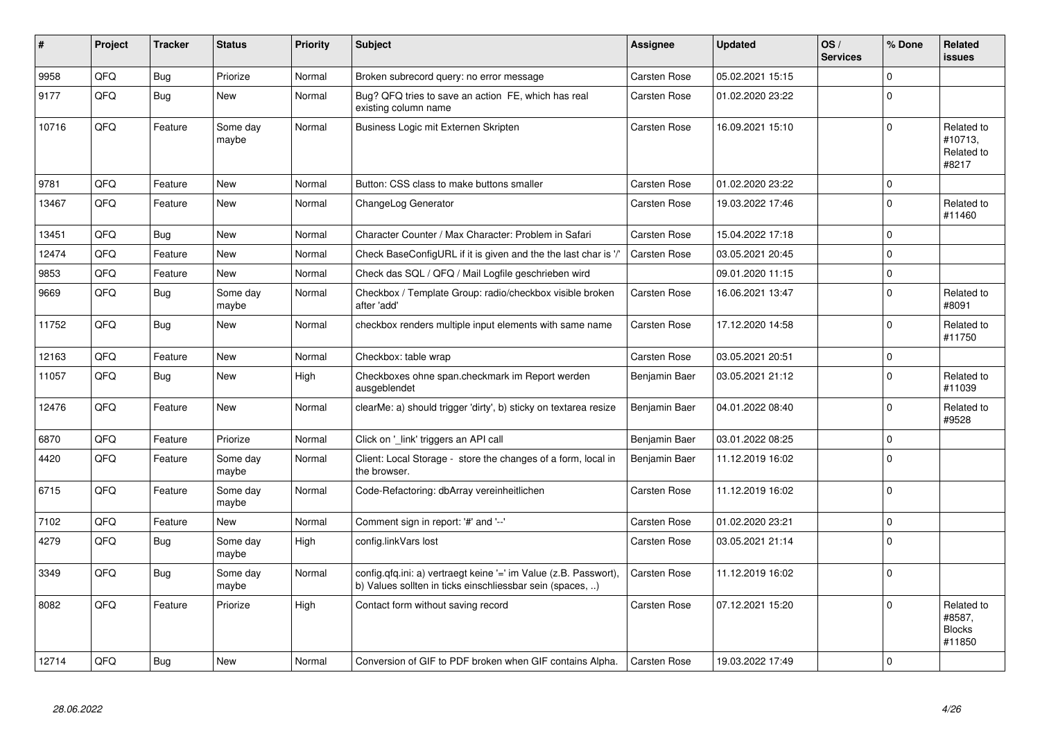| #     | Project | <b>Tracker</b> | <b>Status</b>     | <b>Priority</b> | <b>Subject</b>                                                                                                                | Assignee            | <b>Updated</b>   | OS/<br><b>Services</b> | % Done      | Related<br>issues                               |
|-------|---------|----------------|-------------------|-----------------|-------------------------------------------------------------------------------------------------------------------------------|---------------------|------------------|------------------------|-------------|-------------------------------------------------|
| 9958  | QFQ     | Bug            | Priorize          | Normal          | Broken subrecord query: no error message                                                                                      | <b>Carsten Rose</b> | 05.02.2021 15:15 |                        | $\Omega$    |                                                 |
| 9177  | QFQ     | Bug            | <b>New</b>        | Normal          | Bug? QFQ tries to save an action FE, which has real<br>existing column name                                                   | <b>Carsten Rose</b> | 01.02.2020 23:22 |                        | $\Omega$    |                                                 |
| 10716 | QFQ     | Feature        | Some day<br>maybe | Normal          | Business Logic mit Externen Skripten                                                                                          | <b>Carsten Rose</b> | 16.09.2021 15:10 |                        | $\Omega$    | Related to<br>#10713,<br>Related to<br>#8217    |
| 9781  | QFQ     | Feature        | <b>New</b>        | Normal          | Button: CSS class to make buttons smaller                                                                                     | <b>Carsten Rose</b> | 01.02.2020 23:22 |                        | $\Omega$    |                                                 |
| 13467 | QFQ     | Feature        | <b>New</b>        | Normal          | ChangeLog Generator                                                                                                           | Carsten Rose        | 19.03.2022 17:46 |                        | $\Omega$    | Related to<br>#11460                            |
| 13451 | QFQ     | Bug            | <b>New</b>        | Normal          | Character Counter / Max Character: Problem in Safari                                                                          | <b>Carsten Rose</b> | 15.04.2022 17:18 |                        | $\Omega$    |                                                 |
| 12474 | QFQ     | Feature        | <b>New</b>        | Normal          | Check BaseConfigURL if it is given and the the last char is '/'                                                               | <b>Carsten Rose</b> | 03.05.2021 20:45 |                        | $\mathbf 0$ |                                                 |
| 9853  | QFQ     | Feature        | <b>New</b>        | Normal          | Check das SQL / QFQ / Mail Logfile geschrieben wird                                                                           |                     | 09.01.2020 11:15 |                        | $\mathbf 0$ |                                                 |
| 9669  | QFQ     | <b>Bug</b>     | Some day<br>maybe | Normal          | Checkbox / Template Group: radio/checkbox visible broken<br>after 'add'                                                       | Carsten Rose        | 16.06.2021 13:47 |                        | $\Omega$    | Related to<br>#8091                             |
| 11752 | QFQ     | <b>Bug</b>     | <b>New</b>        | Normal          | checkbox renders multiple input elements with same name                                                                       | <b>Carsten Rose</b> | 17.12.2020 14:58 |                        | $\Omega$    | Related to<br>#11750                            |
| 12163 | QFQ     | Feature        | <b>New</b>        | Normal          | Checkbox: table wrap                                                                                                          | <b>Carsten Rose</b> | 03.05.2021 20:51 |                        | $\mathbf 0$ |                                                 |
| 11057 | QFQ     | Bug            | <b>New</b>        | High            | Checkboxes ohne span.checkmark im Report werden<br>ausgeblendet                                                               | Benjamin Baer       | 03.05.2021 21:12 |                        | $\Omega$    | Related to<br>#11039                            |
| 12476 | QFQ     | Feature        | <b>New</b>        | Normal          | clearMe: a) should trigger 'dirty', b) sticky on textarea resize                                                              | Benjamin Baer       | 04.01.2022 08:40 |                        | $\Omega$    | Related to<br>#9528                             |
| 6870  | QFQ     | Feature        | Priorize          | Normal          | Click on '_link' triggers an API call                                                                                         | Benjamin Baer       | 03.01.2022 08:25 |                        | $\mathbf 0$ |                                                 |
| 4420  | QFQ     | Feature        | Some day<br>maybe | Normal          | Client: Local Storage - store the changes of a form, local in<br>the browser.                                                 | Benjamin Baer       | 11.12.2019 16:02 |                        | $\Omega$    |                                                 |
| 6715  | QFQ     | Feature        | Some day<br>maybe | Normal          | Code-Refactoring: dbArray vereinheitlichen                                                                                    | <b>Carsten Rose</b> | 11.12.2019 16:02 |                        | $\Omega$    |                                                 |
| 7102  | QFQ     | Feature        | <b>New</b>        | Normal          | Comment sign in report: '#' and '--'                                                                                          | Carsten Rose        | 01.02.2020 23:21 |                        | $\mathbf 0$ |                                                 |
| 4279  | QFQ     | Bug            | Some day<br>maybe | High            | config.linkVars lost                                                                                                          | <b>Carsten Rose</b> | 03.05.2021 21:14 |                        | $\Omega$    |                                                 |
| 3349  | QFQ     | Bug            | Some day<br>maybe | Normal          | config.qfq.ini: a) vertraegt keine '=' im Value (z.B. Passwort),<br>b) Values sollten in ticks einschliessbar sein (spaces, ) | <b>Carsten Rose</b> | 11.12.2019 16:02 |                        | $\Omega$    |                                                 |
| 8082  | QFQ     | Feature        | Priorize          | High            | Contact form without saving record                                                                                            | Carsten Rose        | 07.12.2021 15:20 |                        | $\Omega$    | Related to<br>#8587,<br><b>Blocks</b><br>#11850 |
| 12714 | QFQ     | Bug            | <b>New</b>        | Normal          | Conversion of GIF to PDF broken when GIF contains Alpha.                                                                      | <b>Carsten Rose</b> | 19.03.2022 17:49 |                        | $\Omega$    |                                                 |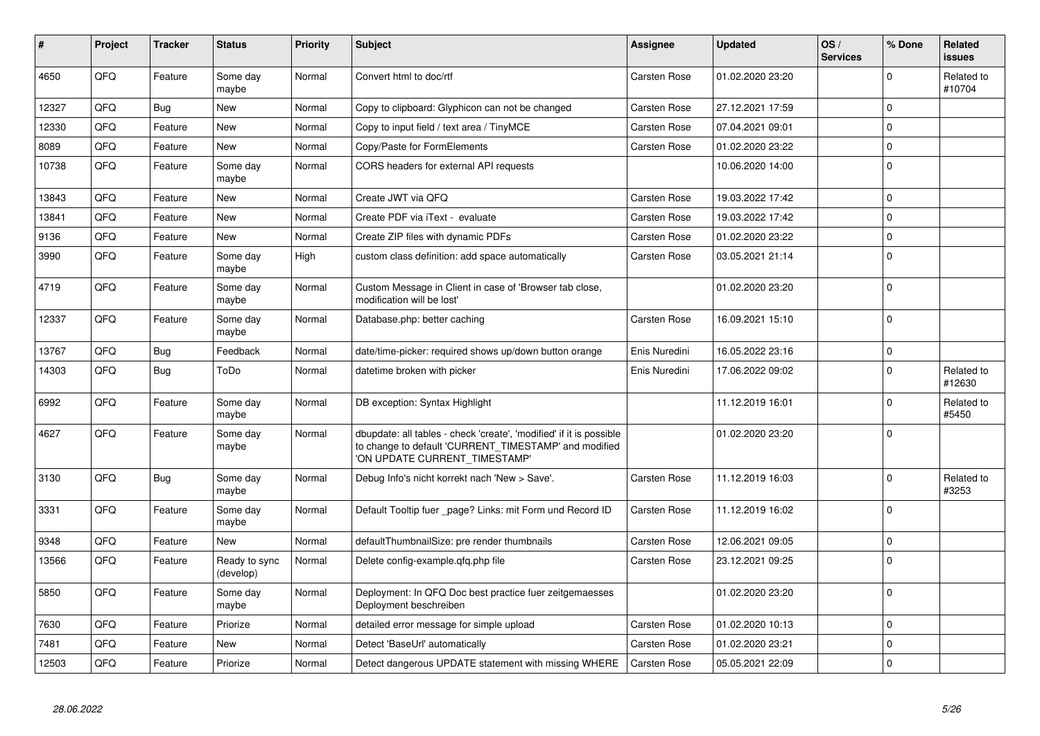| #     | Project | <b>Tracker</b> | <b>Status</b>              | <b>Priority</b> | <b>Subject</b>                                                                                                                                                | Assignee            | <b>Updated</b>   | OS/<br><b>Services</b> | % Done      | Related<br>issues    |
|-------|---------|----------------|----------------------------|-----------------|---------------------------------------------------------------------------------------------------------------------------------------------------------------|---------------------|------------------|------------------------|-------------|----------------------|
| 4650  | QFQ     | Feature        | Some day<br>maybe          | Normal          | Convert html to doc/rtf                                                                                                                                       | Carsten Rose        | 01.02.2020 23:20 |                        | $\Omega$    | Related to<br>#10704 |
| 12327 | QFQ     | Bug            | New                        | Normal          | Copy to clipboard: Glyphicon can not be changed                                                                                                               | Carsten Rose        | 27.12.2021 17:59 |                        | $\mathbf 0$ |                      |
| 12330 | QFQ     | Feature        | New                        | Normal          | Copy to input field / text area / TinyMCE                                                                                                                     | Carsten Rose        | 07.04.2021 09:01 |                        | $\Omega$    |                      |
| 8089  | QFQ     | Feature        | <b>New</b>                 | Normal          | Copy/Paste for FormElements                                                                                                                                   | Carsten Rose        | 01.02.2020 23:22 |                        | $\mathbf 0$ |                      |
| 10738 | QFQ     | Feature        | Some day<br>maybe          | Normal          | CORS headers for external API requests                                                                                                                        |                     | 10.06.2020 14:00 |                        | $\Omega$    |                      |
| 13843 | QFQ     | Feature        | New                        | Normal          | Create JWT via QFQ                                                                                                                                            | Carsten Rose        | 19.03.2022 17:42 |                        | $\Omega$    |                      |
| 13841 | QFQ     | Feature        | New                        | Normal          | Create PDF via iText - evaluate                                                                                                                               | Carsten Rose        | 19.03.2022 17:42 |                        | $\mathbf 0$ |                      |
| 9136  | QFQ     | Feature        | <b>New</b>                 | Normal          | Create ZIP files with dynamic PDFs                                                                                                                            | Carsten Rose        | 01.02.2020 23:22 |                        | $\Omega$    |                      |
| 3990  | QFQ     | Feature        | Some day<br>maybe          | High            | custom class definition: add space automatically                                                                                                              | Carsten Rose        | 03.05.2021 21:14 |                        | $\mathbf 0$ |                      |
| 4719  | QFQ     | Feature        | Some day<br>maybe          | Normal          | Custom Message in Client in case of 'Browser tab close,<br>modification will be lost'                                                                         |                     | 01.02.2020 23:20 |                        | $\mathbf 0$ |                      |
| 12337 | QFQ     | Feature        | Some day<br>maybe          | Normal          | Database.php: better caching                                                                                                                                  | Carsten Rose        | 16.09.2021 15:10 |                        | $\Omega$    |                      |
| 13767 | QFQ     | <b>Bug</b>     | Feedback                   | Normal          | date/time-picker: required shows up/down button orange                                                                                                        | Enis Nuredini       | 16.05.2022 23:16 |                        | $\mathbf 0$ |                      |
| 14303 | QFQ     | <b>Bug</b>     | ToDo                       | Normal          | datetime broken with picker                                                                                                                                   | Enis Nuredini       | 17.06.2022 09:02 |                        | $\Omega$    | Related to<br>#12630 |
| 6992  | QFQ     | Feature        | Some day<br>maybe          | Normal          | DB exception: Syntax Highlight                                                                                                                                |                     | 11.12.2019 16:01 |                        | $\Omega$    | Related to<br>#5450  |
| 4627  | QFQ     | Feature        | Some day<br>maybe          | Normal          | dbupdate: all tables - check 'create', 'modified' if it is possible<br>to change to default 'CURRENT_TIMESTAMP' and modified<br>'ON UPDATE CURRENT_TIMESTAMP' |                     | 01.02.2020 23:20 |                        | $\Omega$    |                      |
| 3130  | QFQ     | <b>Bug</b>     | Some dav<br>maybe          | Normal          | Debug Info's nicht korrekt nach 'New > Save'.                                                                                                                 | <b>Carsten Rose</b> | 11.12.2019 16:03 |                        | $\Omega$    | Related to<br>#3253  |
| 3331  | QFQ     | Feature        | Some day<br>maybe          | Normal          | Default Tooltip fuer page? Links: mit Form und Record ID                                                                                                      | Carsten Rose        | 11.12.2019 16:02 |                        | $\mathbf 0$ |                      |
| 9348  | QFQ     | Feature        | <b>New</b>                 | Normal          | defaultThumbnailSize: pre render thumbnails                                                                                                                   | Carsten Rose        | 12.06.2021 09:05 |                        | $\mathbf 0$ |                      |
| 13566 | QFQ     | Feature        | Ready to sync<br>(develop) | Normal          | Delete config-example.gfg.php file                                                                                                                            | Carsten Rose        | 23.12.2021 09:25 |                        | $\mathbf 0$ |                      |
| 5850  | QFQ     | Feature        | Some day<br>maybe          | Normal          | Deployment: In QFQ Doc best practice fuer zeitgemaesses<br>Deployment beschreiben                                                                             |                     | 01.02.2020 23:20 |                        | $\Omega$    |                      |
| 7630  | QFQ     | Feature        | Priorize                   | Normal          | detailed error message for simple upload                                                                                                                      | Carsten Rose        | 01.02.2020 10:13 |                        | $\mathbf 0$ |                      |
| 7481  | QFQ     | Feature        | <b>New</b>                 | Normal          | Detect 'BaseUrl' automatically                                                                                                                                | Carsten Rose        | 01.02.2020 23:21 |                        | $\Omega$    |                      |
| 12503 | QFQ     | Feature        | Priorize                   | Normal          | Detect dangerous UPDATE statement with missing WHERE                                                                                                          | <b>Carsten Rose</b> | 05.05.2021 22:09 |                        | $\mathbf 0$ |                      |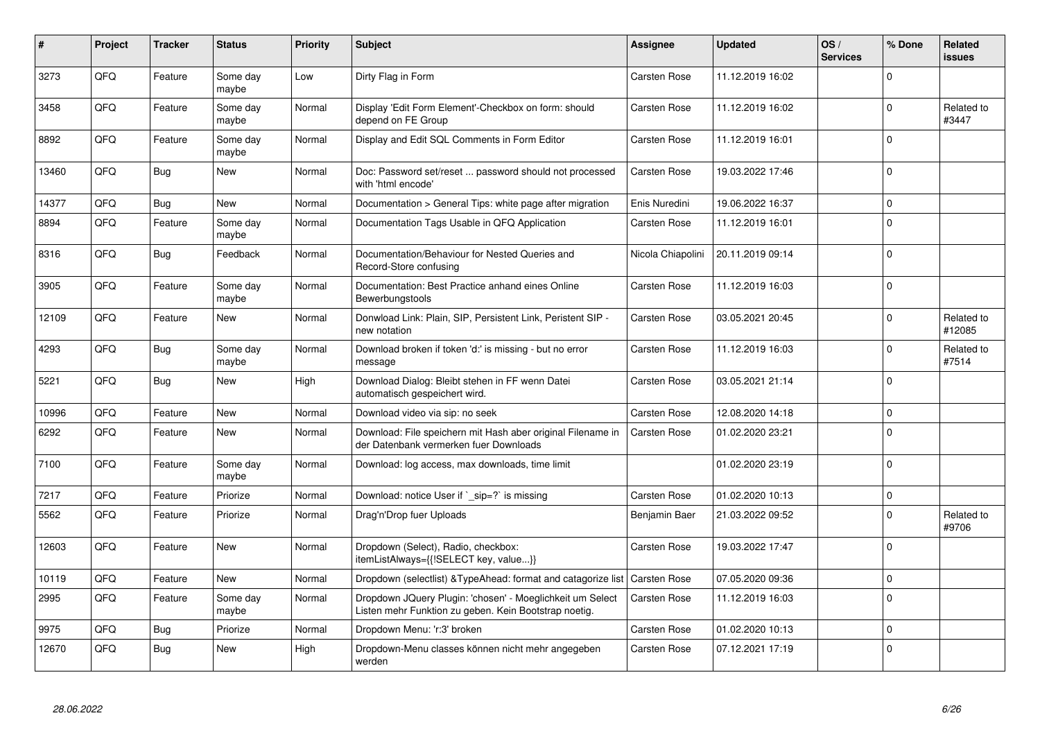| #     | Project | <b>Tracker</b> | <b>Status</b>     | <b>Priority</b> | <b>Subject</b>                                                                                                     | <b>Assignee</b>     | <b>Updated</b>   | OS/<br><b>Services</b> | % Done       | Related<br>issues    |
|-------|---------|----------------|-------------------|-----------------|--------------------------------------------------------------------------------------------------------------------|---------------------|------------------|------------------------|--------------|----------------------|
| 3273  | QFQ     | Feature        | Some day<br>maybe | Low             | Dirty Flag in Form                                                                                                 | <b>Carsten Rose</b> | 11.12.2019 16:02 |                        | $\Omega$     |                      |
| 3458  | QFQ     | Feature        | Some day<br>maybe | Normal          | Display 'Edit Form Element'-Checkbox on form: should<br>depend on FE Group                                         | <b>Carsten Rose</b> | 11.12.2019 16:02 |                        | $\mathbf{0}$ | Related to<br>#3447  |
| 8892  | QFQ     | Feature        | Some day<br>maybe | Normal          | Display and Edit SQL Comments in Form Editor                                                                       | <b>Carsten Rose</b> | 11.12.2019 16:01 |                        | $\Omega$     |                      |
| 13460 | QFQ     | <b>Bug</b>     | New               | Normal          | Doc: Password set/reset  password should not processed<br>with 'html encode'                                       | Carsten Rose        | 19.03.2022 17:46 |                        | $\Omega$     |                      |
| 14377 | QFQ     | <b>Bug</b>     | <b>New</b>        | Normal          | Documentation > General Tips: white page after migration                                                           | Enis Nuredini       | 19.06.2022 16:37 |                        | $\Omega$     |                      |
| 8894  | QFQ     | Feature        | Some day<br>maybe | Normal          | Documentation Tags Usable in QFQ Application                                                                       | <b>Carsten Rose</b> | 11.12.2019 16:01 |                        | $\Omega$     |                      |
| 8316  | QFQ     | <b>Bug</b>     | Feedback          | Normal          | Documentation/Behaviour for Nested Queries and<br>Record-Store confusing                                           | Nicola Chiapolini   | 20.11.2019 09:14 |                        | $\Omega$     |                      |
| 3905  | QFQ     | Feature        | Some day<br>maybe | Normal          | Documentation: Best Practice anhand eines Online<br>Bewerbungstools                                                | Carsten Rose        | 11.12.2019 16:03 |                        | $\mathbf 0$  |                      |
| 12109 | QFQ     | Feature        | New               | Normal          | Donwload Link: Plain, SIP, Persistent Link, Peristent SIP -<br>new notation                                        | <b>Carsten Rose</b> | 03.05.2021 20:45 |                        | $\mathbf 0$  | Related to<br>#12085 |
| 4293  | QFQ     | Bug            | Some day<br>maybe | Normal          | Download broken if token 'd:' is missing - but no error<br>message                                                 | <b>Carsten Rose</b> | 11.12.2019 16:03 |                        | $\mathbf 0$  | Related to<br>#7514  |
| 5221  | QFQ     | <b>Bug</b>     | <b>New</b>        | High            | Download Dialog: Bleibt stehen in FF wenn Datei<br>automatisch gespeichert wird.                                   | <b>Carsten Rose</b> | 03.05.2021 21:14 |                        | $\Omega$     |                      |
| 10996 | QFQ     | Feature        | <b>New</b>        | Normal          | Download video via sip: no seek                                                                                    | <b>Carsten Rose</b> | 12.08.2020 14:18 |                        | $\Omega$     |                      |
| 6292  | QFQ     | Feature        | <b>New</b>        | Normal          | Download: File speichern mit Hash aber original Filename in<br>der Datenbank vermerken fuer Downloads              | <b>Carsten Rose</b> | 01.02.2020 23:21 |                        | $\Omega$     |                      |
| 7100  | QFQ     | Feature        | Some day<br>maybe | Normal          | Download: log access, max downloads, time limit                                                                    |                     | 01.02.2020 23:19 |                        | $\Omega$     |                      |
| 7217  | QFQ     | Feature        | Priorize          | Normal          | Download: notice User if `_sip=?` is missing                                                                       | <b>Carsten Rose</b> | 01.02.2020 10:13 |                        | $\mathbf 0$  |                      |
| 5562  | QFQ     | Feature        | Priorize          | Normal          | Drag'n'Drop fuer Uploads                                                                                           | Benjamin Baer       | 21.03.2022 09:52 |                        | $\Omega$     | Related to<br>#9706  |
| 12603 | QFQ     | Feature        | <b>New</b>        | Normal          | Dropdown (Select), Radio, checkbox:<br>itemListAlways={{!SELECT key, value}}                                       | <b>Carsten Rose</b> | 19.03.2022 17:47 |                        | $\Omega$     |                      |
| 10119 | QFQ     | Feature        | <b>New</b>        | Normal          | Dropdown (selectlist) & TypeAhead: format and catagorize list                                                      | <b>Carsten Rose</b> | 07.05.2020 09:36 |                        | $\mathbf 0$  |                      |
| 2995  | QFQ     | Feature        | Some day<br>maybe | Normal          | Dropdown JQuery Plugin: 'chosen' - Moeglichkeit um Select<br>Listen mehr Funktion zu geben. Kein Bootstrap noetig. | Carsten Rose        | 11.12.2019 16:03 |                        | $\Omega$     |                      |
| 9975  | QFQ     | <b>Bug</b>     | Priorize          | Normal          | Dropdown Menu: 'r:3' broken                                                                                        | <b>Carsten Rose</b> | 01.02.2020 10:13 |                        | $\Omega$     |                      |
| 12670 | QFQ     | <b>Bug</b>     | New               | High            | Dropdown-Menu classes können nicht mehr angegeben<br>werden                                                        | <b>Carsten Rose</b> | 07.12.2021 17:19 |                        | $\Omega$     |                      |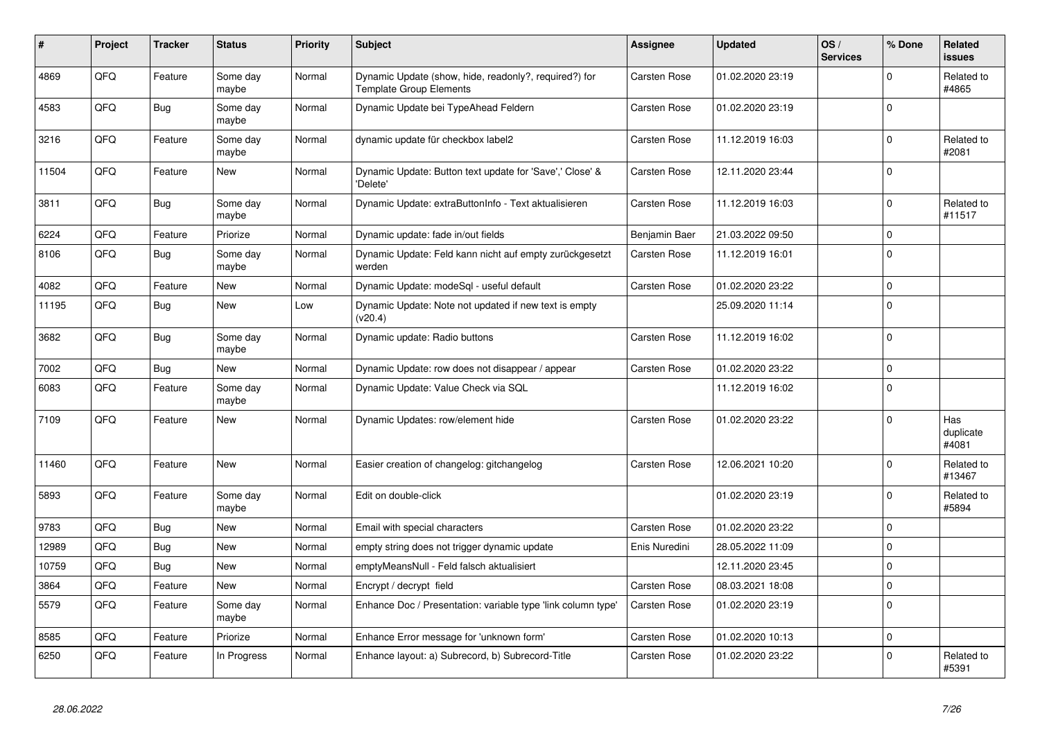| #     | Project | <b>Tracker</b> | <b>Status</b>     | <b>Priority</b> | <b>Subject</b>                                                                          | Assignee            | <b>Updated</b>   | OS/<br><b>Services</b> | % Done      | Related<br>issues         |
|-------|---------|----------------|-------------------|-----------------|-----------------------------------------------------------------------------------------|---------------------|------------------|------------------------|-------------|---------------------------|
| 4869  | QFQ     | Feature        | Some day<br>maybe | Normal          | Dynamic Update (show, hide, readonly?, required?) for<br><b>Template Group Elements</b> | <b>Carsten Rose</b> | 01.02.2020 23:19 |                        | $\Omega$    | Related to<br>#4865       |
| 4583  | QFQ     | Bug            | Some dav<br>maybe | Normal          | Dynamic Update bei TypeAhead Feldern                                                    | Carsten Rose        | 01.02.2020 23:19 |                        | $\Omega$    |                           |
| 3216  | QFQ     | Feature        | Some day<br>maybe | Normal          | dynamic update für checkbox label2                                                      | Carsten Rose        | 11.12.2019 16:03 |                        | $\Omega$    | Related to<br>#2081       |
| 11504 | QFQ     | Feature        | New               | Normal          | Dynamic Update: Button text update for 'Save',' Close' &<br>'Delete'                    | <b>Carsten Rose</b> | 12.11.2020 23:44 |                        | $\Omega$    |                           |
| 3811  | QFQ     | Bug            | Some day<br>maybe | Normal          | Dynamic Update: extraButtonInfo - Text aktualisieren                                    | Carsten Rose        | 11.12.2019 16:03 |                        | $\Omega$    | Related to<br>#11517      |
| 6224  | QFQ     | Feature        | Priorize          | Normal          | Dynamic update: fade in/out fields                                                      | Benjamin Baer       | 21.03.2022 09:50 |                        | $\mathbf 0$ |                           |
| 8106  | QFQ     | Bug            | Some day<br>maybe | Normal          | Dynamic Update: Feld kann nicht auf empty zurückgesetzt<br>werden                       | <b>Carsten Rose</b> | 11.12.2019 16:01 |                        | $\Omega$    |                           |
| 4082  | QFQ     | Feature        | New               | Normal          | Dynamic Update: modeSgl - useful default                                                | Carsten Rose        | 01.02.2020 23:22 |                        | $\Omega$    |                           |
| 11195 | QFQ     | Bug            | New               | Low             | Dynamic Update: Note not updated if new text is empty<br>(v20.4)                        |                     | 25.09.2020 11:14 |                        | $\Omega$    |                           |
| 3682  | QFQ     | <b>Bug</b>     | Some day<br>maybe | Normal          | Dynamic update: Radio buttons                                                           | Carsten Rose        | 11.12.2019 16:02 |                        | $\Omega$    |                           |
| 7002  | QFQ     | <b>Bug</b>     | <b>New</b>        | Normal          | Dynamic Update: row does not disappear / appear                                         | Carsten Rose        | 01.02.2020 23:22 |                        | $\mathbf 0$ |                           |
| 6083  | QFQ     | Feature        | Some day<br>maybe | Normal          | Dynamic Update: Value Check via SQL                                                     |                     | 11.12.2019 16:02 |                        | $\Omega$    |                           |
| 7109  | QFQ     | Feature        | <b>New</b>        | Normal          | Dynamic Updates: row/element hide                                                       | <b>Carsten Rose</b> | 01.02.2020 23:22 |                        | $\Omega$    | Has<br>duplicate<br>#4081 |
| 11460 | QFQ     | Feature        | New               | Normal          | Easier creation of changelog: gitchangelog                                              | Carsten Rose        | 12.06.2021 10:20 |                        | $\Omega$    | Related to<br>#13467      |
| 5893  | QFQ     | Feature        | Some dav<br>maybe | Normal          | Edit on double-click                                                                    |                     | 01.02.2020 23:19 |                        | $\Omega$    | Related to<br>#5894       |
| 9783  | QFQ     | <b>Bug</b>     | <b>New</b>        | Normal          | Email with special characters                                                           | <b>Carsten Rose</b> | 01.02.2020 23:22 |                        | $\Omega$    |                           |
| 12989 | QFQ     | Bug            | <b>New</b>        | Normal          | empty string does not trigger dynamic update                                            | Enis Nuredini       | 28.05.2022 11:09 |                        | $\Omega$    |                           |
| 10759 | QFQ     | Bug            | <b>New</b>        | Normal          | emptyMeansNull - Feld falsch aktualisiert                                               |                     | 12.11.2020 23:45 |                        | $\Omega$    |                           |
| 3864  | QFQ     | Feature        | New               | Normal          | Encrypt / decrypt field                                                                 | <b>Carsten Rose</b> | 08.03.2021 18:08 |                        | $\mathbf 0$ |                           |
| 5579  | QFQ     | Feature        | Some day<br>maybe | Normal          | Enhance Doc / Presentation: variable type 'link column type'                            | Carsten Rose        | 01.02.2020 23:19 |                        | $\Omega$    |                           |
| 8585  | QFQ     | Feature        | Priorize          | Normal          | Enhance Error message for 'unknown form'                                                | Carsten Rose        | 01.02.2020 10:13 |                        | $\mathbf 0$ |                           |
| 6250  | QFQ     | Feature        | In Progress       | Normal          | Enhance layout: a) Subrecord, b) Subrecord-Title                                        | <b>Carsten Rose</b> | 01.02.2020 23:22 |                        | $\Omega$    | Related to<br>#5391       |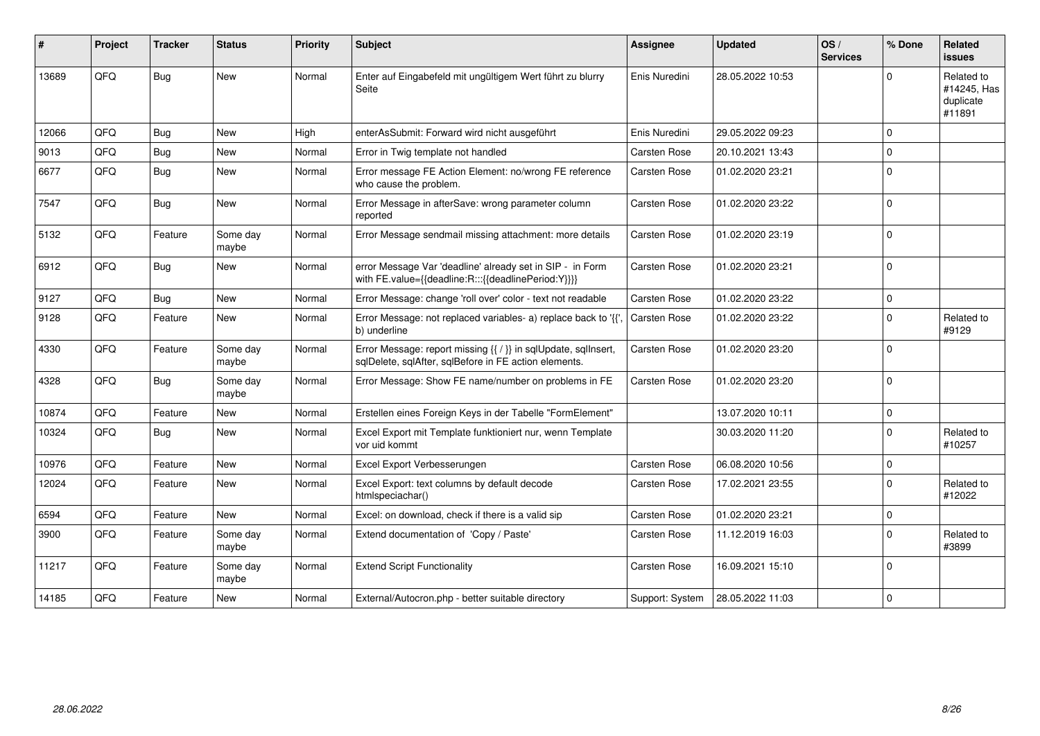| #     | Project | <b>Tracker</b> | <b>Status</b>     | <b>Priority</b> | Subject                                                                                                                 | <b>Assignee</b>     | <b>Updated</b>   | OS/<br><b>Services</b> | % Done         | Related<br>issues                                |
|-------|---------|----------------|-------------------|-----------------|-------------------------------------------------------------------------------------------------------------------------|---------------------|------------------|------------------------|----------------|--------------------------------------------------|
| 13689 | QFQ     | Bug            | <b>New</b>        | Normal          | Enter auf Eingabefeld mit ungültigem Wert führt zu blurry<br>Seite                                                      | Enis Nuredini       | 28.05.2022 10:53 |                        | $\Omega$       | Related to<br>#14245, Has<br>duplicate<br>#11891 |
| 12066 | QFQ     | <b>Bug</b>     | <b>New</b>        | High            | enterAsSubmit: Forward wird nicht ausgeführt                                                                            | Enis Nuredini       | 29.05.2022 09:23 |                        | $\Omega$       |                                                  |
| 9013  | QFQ     | Bug            | <b>New</b>        | Normal          | Error in Twig template not handled                                                                                      | <b>Carsten Rose</b> | 20.10.2021 13:43 |                        | $\Omega$       |                                                  |
| 6677  | QFQ     | Bug            | New               | Normal          | Error message FE Action Element: no/wrong FE reference<br>who cause the problem.                                        | Carsten Rose        | 01.02.2020 23:21 |                        | $\mathbf 0$    |                                                  |
| 7547  | QFQ     | <b>Bug</b>     | New               | Normal          | Error Message in afterSave: wrong parameter column<br>reported                                                          | Carsten Rose        | 01.02.2020 23:22 |                        | $\Omega$       |                                                  |
| 5132  | QFQ     | Feature        | Some day<br>maybe | Normal          | Error Message sendmail missing attachment: more details                                                                 | <b>Carsten Rose</b> | 01.02.2020 23:19 |                        | $\Omega$       |                                                  |
| 6912  | QFQ     | Bug            | <b>New</b>        | Normal          | error Message Var 'deadline' already set in SIP - in Form<br>with FE.value={{deadline:R:::{{deadlinePeriod:Y}}}}        | <b>Carsten Rose</b> | 01.02.2020 23:21 |                        | $\overline{0}$ |                                                  |
| 9127  | QFQ     | Bug            | <b>New</b>        | Normal          | Error Message: change 'roll over' color - text not readable                                                             | Carsten Rose        | 01.02.2020 23:22 |                        | $\mathbf 0$    |                                                  |
| 9128  | QFQ     | Feature        | <b>New</b>        | Normal          | Error Message: not replaced variables- a) replace back to '{'<br>b) underline                                           | <b>Carsten Rose</b> | 01.02.2020 23:22 |                        | $\Omega$       | Related to<br>#9129                              |
| 4330  | QFQ     | Feature        | Some day<br>maybe | Normal          | Error Message: report missing {{ / }} in sqlUpdate, sqlInsert,<br>sglDelete, sglAfter, sglBefore in FE action elements. | <b>Carsten Rose</b> | 01.02.2020 23:20 |                        | $\Omega$       |                                                  |
| 4328  | QFQ     | Bug            | Some day<br>maybe | Normal          | Error Message: Show FE name/number on problems in FE                                                                    | Carsten Rose        | 01.02.2020 23:20 |                        | $\Omega$       |                                                  |
| 10874 | QFQ     | Feature        | New               | Normal          | Erstellen eines Foreign Keys in der Tabelle "FormElement"                                                               |                     | 13.07.2020 10:11 |                        | $\mathbf 0$    |                                                  |
| 10324 | QFQ     | Bug            | <b>New</b>        | Normal          | Excel Export mit Template funktioniert nur, wenn Template<br>vor uid kommt                                              |                     | 30.03.2020 11:20 |                        | $\Omega$       | Related to<br>#10257                             |
| 10976 | QFQ     | Feature        | <b>New</b>        | Normal          | Excel Export Verbesserungen                                                                                             | Carsten Rose        | 06.08.2020 10:56 |                        | $\Omega$       |                                                  |
| 12024 | QFQ     | Feature        | New               | Normal          | Excel Export: text columns by default decode<br>htmlspeciachar()                                                        | Carsten Rose        | 17.02.2021 23:55 |                        | $\Omega$       | Related to<br>#12022                             |
| 6594  | QFQ     | Feature        | <b>New</b>        | Normal          | Excel: on download, check if there is a valid sip                                                                       | <b>Carsten Rose</b> | 01.02.2020 23:21 |                        | $\Omega$       |                                                  |
| 3900  | QFQ     | Feature        | Some day<br>maybe | Normal          | Extend documentation of 'Copy / Paste'                                                                                  | Carsten Rose        | 11.12.2019 16:03 |                        | $\Omega$       | Related to<br>#3899                              |
| 11217 | QFQ     | Feature        | Some day<br>maybe | Normal          | <b>Extend Script Functionality</b>                                                                                      | Carsten Rose        | 16.09.2021 15:10 |                        | $\Omega$       |                                                  |
| 14185 | QFQ     | Feature        | <b>New</b>        | Normal          | External/Autocron.php - better suitable directory                                                                       | Support: System     | 28.05.2022 11:03 |                        | $\Omega$       |                                                  |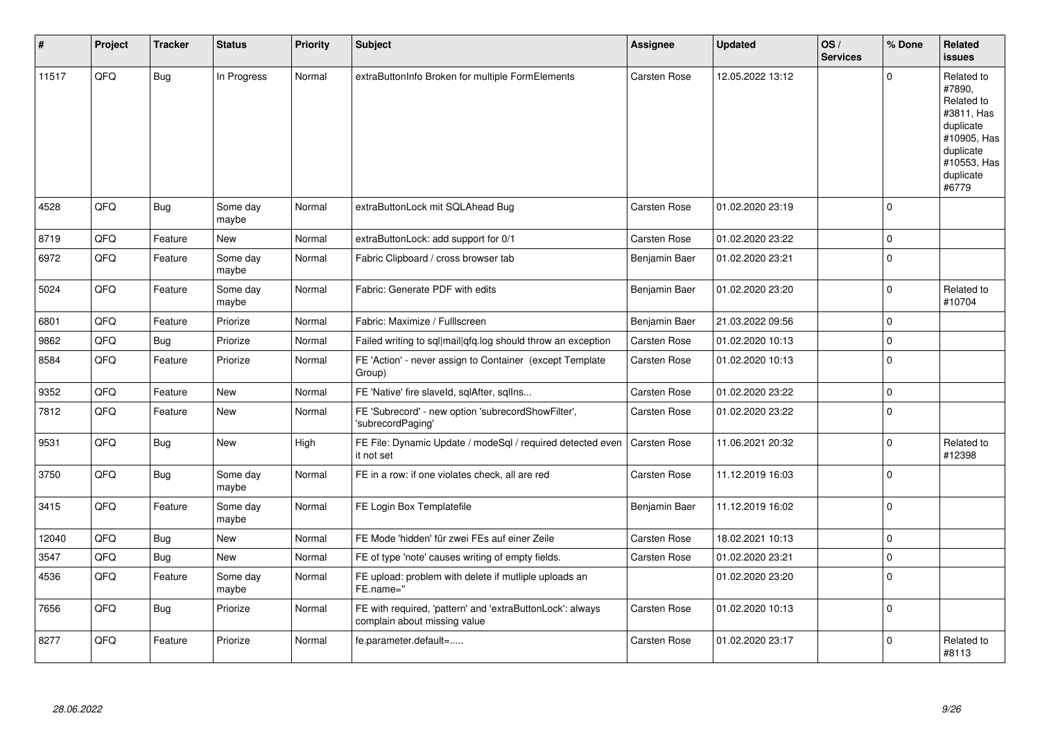| $\sharp$ | Project | <b>Tracker</b> | <b>Status</b>     | <b>Priority</b> | <b>Subject</b>                                                                            | Assignee            | <b>Updated</b>   | OS/<br><b>Services</b> | % Done      | <b>Related</b><br><b>issues</b>                                                                                                |
|----------|---------|----------------|-------------------|-----------------|-------------------------------------------------------------------------------------------|---------------------|------------------|------------------------|-------------|--------------------------------------------------------------------------------------------------------------------------------|
| 11517    | QFQ     | <b>Bug</b>     | In Progress       | Normal          | extraButtonInfo Broken for multiple FormElements                                          | Carsten Rose        | 12.05.2022 13:12 |                        | U           | Related to<br>#7890,<br>Related to<br>#3811, Has<br>duplicate<br>#10905, Has<br>duplicate<br>#10553, Has<br>duplicate<br>#6779 |
| 4528     | QFQ     | <b>Bug</b>     | Some day<br>maybe | Normal          | extraButtonLock mit SQLAhead Bug                                                          | Carsten Rose        | 01.02.2020 23:19 |                        | $\Omega$    |                                                                                                                                |
| 8719     | QFQ     | Feature        | New               | Normal          | extraButtonLock: add support for 0/1                                                      | Carsten Rose        | 01.02.2020 23:22 |                        | $\mathbf 0$ |                                                                                                                                |
| 6972     | QFQ     | Feature        | Some day<br>maybe | Normal          | Fabric Clipboard / cross browser tab                                                      | Benjamin Baer       | 01.02.2020 23:21 |                        | $\Omega$    |                                                                                                                                |
| 5024     | QFQ     | Feature        | Some day<br>maybe | Normal          | Fabric: Generate PDF with edits                                                           | Benjamin Baer       | 01.02.2020 23:20 |                        | $\Omega$    | Related to<br>#10704                                                                                                           |
| 6801     | QFQ     | Feature        | Priorize          | Normal          | Fabric: Maximize / FullIscreen                                                            | Benjamin Baer       | 21.03.2022 09:56 |                        | $\Omega$    |                                                                                                                                |
| 9862     | QFQ     | <b>Bug</b>     | Priorize          | Normal          | Failed writing to sql mail qfq.log should throw an exception                              | <b>Carsten Rose</b> | 01.02.2020 10:13 |                        | $\Omega$    |                                                                                                                                |
| 8584     | QFQ     | Feature        | Priorize          | Normal          | FE 'Action' - never assign to Container (except Template<br>Group)                        | Carsten Rose        | 01.02.2020 10:13 |                        | $\Omega$    |                                                                                                                                |
| 9352     | QFQ     | Feature        | <b>New</b>        | Normal          | FE 'Native' fire slaveld, sqlAfter, sqlIns                                                | Carsten Rose        | 01.02.2020 23:22 |                        | $\mathbf 0$ |                                                                                                                                |
| 7812     | QFQ     | Feature        | New               | Normal          | FE 'Subrecord' - new option 'subrecordShowFilter',<br>'subrecordPaging'                   | <b>Carsten Rose</b> | 01.02.2020 23:22 |                        | $\Omega$    |                                                                                                                                |
| 9531     | QFQ     | Bug            | New               | High            | FE File: Dynamic Update / modeSgl / required detected even<br>it not set                  | <b>Carsten Rose</b> | 11.06.2021 20:32 |                        | $\mathbf 0$ | Related to<br>#12398                                                                                                           |
| 3750     | QFQ     | Bug            | Some day<br>maybe | Normal          | FE in a row: if one violates check, all are red                                           | Carsten Rose        | 11.12.2019 16:03 |                        | 0           |                                                                                                                                |
| 3415     | QFQ     | Feature        | Some day<br>maybe | Normal          | FE Login Box Templatefile                                                                 | Benjamin Baer       | 11.12.2019 16:02 |                        | $\Omega$    |                                                                                                                                |
| 12040    | QFQ     | Bug            | <b>New</b>        | Normal          | FE Mode 'hidden' für zwei FEs auf einer Zeile                                             | Carsten Rose        | 18.02.2021 10:13 |                        | $\Omega$    |                                                                                                                                |
| 3547     | QFQ     | Bug            | New               | Normal          | FE of type 'note' causes writing of empty fields.                                         | Carsten Rose        | 01.02.2020 23:21 |                        | $\Omega$    |                                                                                                                                |
| 4536     | QFQ     | Feature        | Some day<br>maybe | Normal          | FE upload: problem with delete if mutliple uploads an<br>FE.name="                        |                     | 01.02.2020 23:20 |                        | $\Omega$    |                                                                                                                                |
| 7656     | QFQ     | Bug            | Priorize          | Normal          | FE with required, 'pattern' and 'extraButtonLock': always<br>complain about missing value | Carsten Rose        | 01.02.2020 10:13 |                        | $\Omega$    |                                                                                                                                |
| 8277     | QFQ     | Feature        | Priorize          | Normal          | fe.parameter.default=                                                                     | <b>Carsten Rose</b> | 01.02.2020 23:17 |                        | $\Omega$    | Related to<br>#8113                                                                                                            |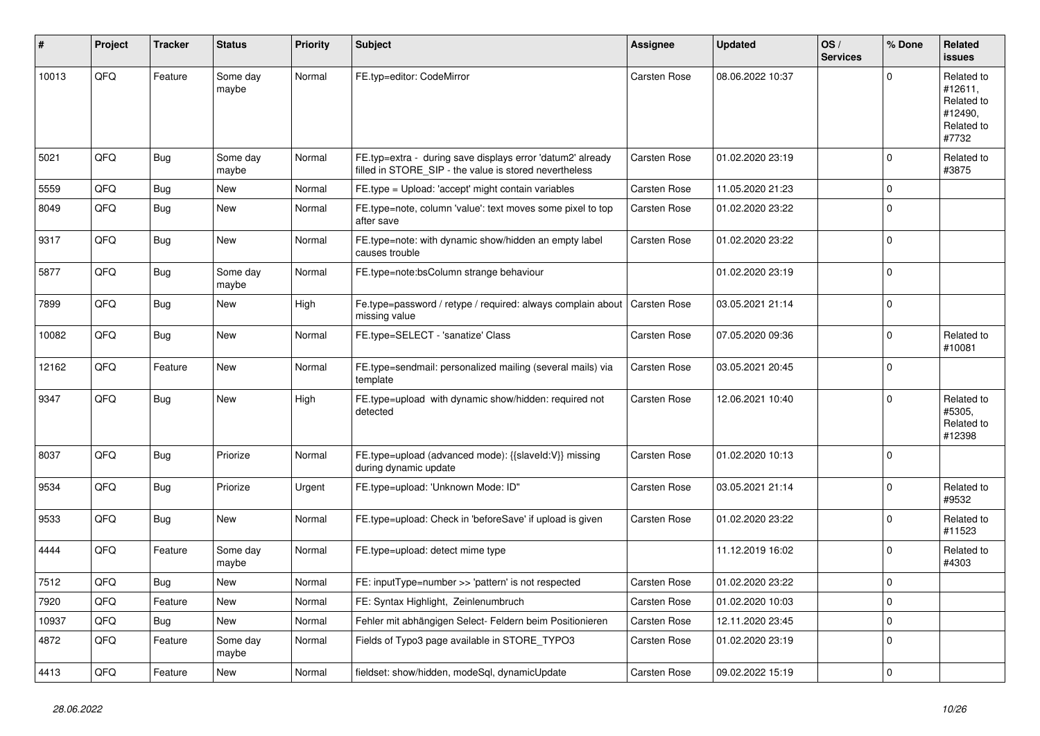| ∦     | Project | <b>Tracker</b> | <b>Status</b>     | <b>Priority</b> | <b>Subject</b>                                                                                                       | Assignee            | <b>Updated</b>   | OS/<br><b>Services</b> | % Done      | Related<br><b>issues</b>                                              |
|-------|---------|----------------|-------------------|-----------------|----------------------------------------------------------------------------------------------------------------------|---------------------|------------------|------------------------|-------------|-----------------------------------------------------------------------|
| 10013 | QFQ     | Feature        | Some day<br>maybe | Normal          | FE.typ=editor: CodeMirror                                                                                            | <b>Carsten Rose</b> | 08.06.2022 10:37 |                        | $\Omega$    | Related to<br>#12611,<br>Related to<br>#12490.<br>Related to<br>#7732 |
| 5021  | QFQ     | <b>Bug</b>     | Some day<br>maybe | Normal          | FE.typ=extra - during save displays error 'datum2' already<br>filled in STORE SIP - the value is stored nevertheless | Carsten Rose        | 01.02.2020 23:19 |                        | $\Omega$    | Related to<br>#3875                                                   |
| 5559  | QFQ     | <b>Bug</b>     | <b>New</b>        | Normal          | FE.type = Upload: 'accept' might contain variables                                                                   | Carsten Rose        | 11.05.2020 21:23 |                        | $\Omega$    |                                                                       |
| 8049  | QFQ     | Bug            | <b>New</b>        | Normal          | FE.type=note, column 'value': text moves some pixel to top<br>after save                                             | Carsten Rose        | 01.02.2020 23:22 |                        | $\Omega$    |                                                                       |
| 9317  | QFQ     | Bug            | <b>New</b>        | Normal          | FE.type=note: with dynamic show/hidden an empty label<br>causes trouble                                              | Carsten Rose        | 01.02.2020 23:22 |                        | $\Omega$    |                                                                       |
| 5877  | QFQ     | Bug            | Some day<br>maybe | Normal          | FE.type=note:bsColumn strange behaviour                                                                              |                     | 01.02.2020 23:19 |                        | $\Omega$    |                                                                       |
| 7899  | QFQ     | <b>Bug</b>     | <b>New</b>        | High            | Fe.type=password / retype / required: always complain about<br>missing value                                         | Carsten Rose        | 03.05.2021 21:14 |                        | $\Omega$    |                                                                       |
| 10082 | QFQ     | Bug            | <b>New</b>        | Normal          | FE.type=SELECT - 'sanatize' Class                                                                                    | Carsten Rose        | 07.05.2020 09:36 |                        | $\Omega$    | Related to<br>#10081                                                  |
| 12162 | QFQ     | Feature        | <b>New</b>        | Normal          | FE.type=sendmail: personalized mailing (several mails) via<br>template                                               | <b>Carsten Rose</b> | 03.05.2021 20:45 |                        | $\Omega$    |                                                                       |
| 9347  | QFQ     | Bug            | <b>New</b>        | High            | FE.type=upload with dynamic show/hidden: required not<br>detected                                                    | Carsten Rose        | 12.06.2021 10:40 |                        | $\Omega$    | Related to<br>#5305,<br>Related to<br>#12398                          |
| 8037  | QFQ     | <b>Bug</b>     | Priorize          | Normal          | FE.type=upload (advanced mode): {{slaveld:V}} missing<br>during dynamic update                                       | <b>Carsten Rose</b> | 01.02.2020 10:13 |                        | $\Omega$    |                                                                       |
| 9534  | QFQ     | Bug            | Priorize          | Urgent          | FE.type=upload: 'Unknown Mode: ID"                                                                                   | Carsten Rose        | 03.05.2021 21:14 |                        | $\Omega$    | Related to<br>#9532                                                   |
| 9533  | QFQ     | Bug            | New               | Normal          | FE.type=upload: Check in 'beforeSave' if upload is given                                                             | Carsten Rose        | 01.02.2020 23:22 |                        | $\Omega$    | Related to<br>#11523                                                  |
| 4444  | QFQ     | Feature        | Some day<br>maybe | Normal          | FE.type=upload: detect mime type                                                                                     |                     | 11.12.2019 16:02 |                        | $\Omega$    | Related to<br>#4303                                                   |
| 7512  | QFQ     | Bug            | <b>New</b>        | Normal          | FE: inputType=number >> 'pattern' is not respected                                                                   | Carsten Rose        | 01.02.2020 23:22 |                        | $\Omega$    |                                                                       |
| 7920  | QFQ     | Feature        | <b>New</b>        | Normal          | FE: Syntax Highlight, Zeinlenumbruch                                                                                 | Carsten Rose        | 01.02.2020 10:03 |                        | $\Omega$    |                                                                       |
| 10937 | QFQ     | Bug            | <b>New</b>        | Normal          | Fehler mit abhängigen Select- Feldern beim Positionieren                                                             | Carsten Rose        | 12.11.2020 23:45 |                        | $\Omega$    |                                                                       |
| 4872  | QFQ     | Feature        | Some day<br>maybe | Normal          | Fields of Typo3 page available in STORE_TYPO3                                                                        | Carsten Rose        | 01.02.2020 23:19 |                        | $\Omega$    |                                                                       |
| 4413  | QFQ     | Feature        | <b>New</b>        | Normal          | fieldset: show/hidden, modeSql, dynamicUpdate                                                                        | <b>Carsten Rose</b> | 09.02.2022 15:19 |                        | $\mathbf 0$ |                                                                       |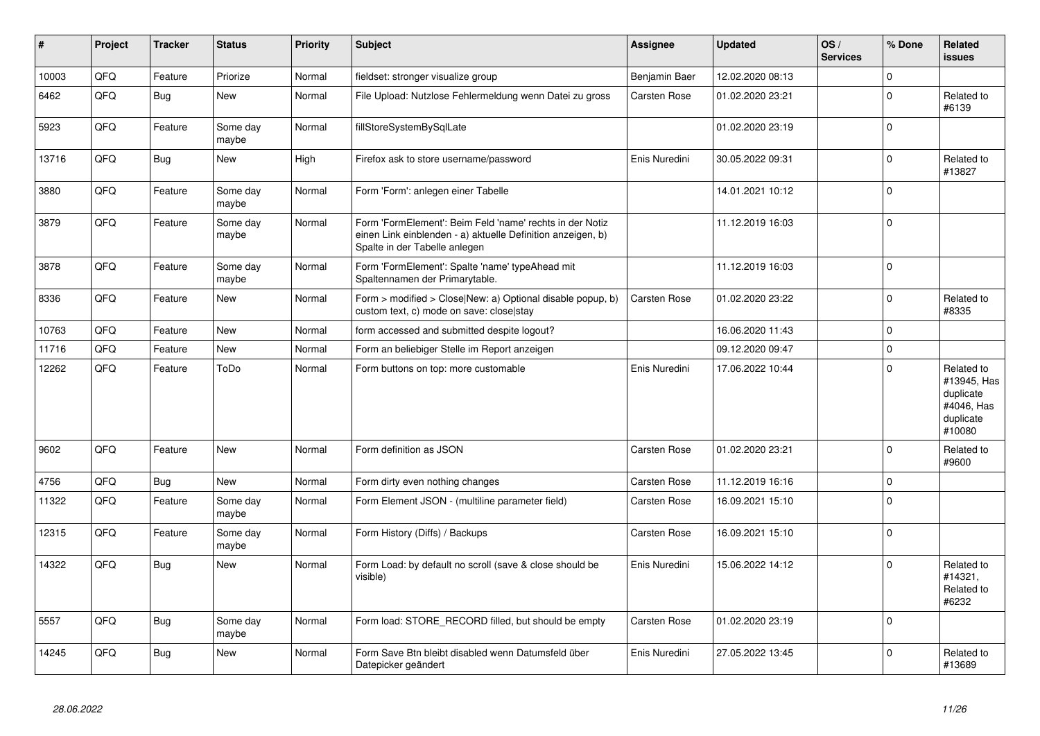| ∦     | Project | <b>Tracker</b> | <b>Status</b>     | <b>Priority</b> | <b>Subject</b>                                                                                                                                           | Assignee            | <b>Updated</b>   | OS/<br><b>Services</b> | % Done      | Related<br><b>issues</b>                                                    |
|-------|---------|----------------|-------------------|-----------------|----------------------------------------------------------------------------------------------------------------------------------------------------------|---------------------|------------------|------------------------|-------------|-----------------------------------------------------------------------------|
| 10003 | QFQ     | Feature        | Priorize          | Normal          | fieldset: stronger visualize group                                                                                                                       | Benjamin Baer       | 12.02.2020 08:13 |                        | 0           |                                                                             |
| 6462  | QFQ     | <b>Bug</b>     | <b>New</b>        | Normal          | File Upload: Nutzlose Fehlermeldung wenn Datei zu gross                                                                                                  | Carsten Rose        | 01.02.2020 23:21 |                        | $\Omega$    | Related to<br>#6139                                                         |
| 5923  | QFQ     | Feature        | Some day<br>maybe | Normal          | fillStoreSystemBySqlLate                                                                                                                                 |                     | 01.02.2020 23:19 |                        | $\Omega$    |                                                                             |
| 13716 | QFQ     | <b>Bug</b>     | <b>New</b>        | High            | Firefox ask to store username/password                                                                                                                   | Enis Nuredini       | 30.05.2022 09:31 |                        | $\mathbf 0$ | Related to<br>#13827                                                        |
| 3880  | QFQ     | Feature        | Some day<br>maybe | Normal          | Form 'Form': anlegen einer Tabelle                                                                                                                       |                     | 14.01.2021 10:12 |                        | $\Omega$    |                                                                             |
| 3879  | QFQ     | Feature        | Some day<br>maybe | Normal          | Form 'FormElement': Beim Feld 'name' rechts in der Notiz<br>einen Link einblenden - a) aktuelle Definition anzeigen, b)<br>Spalte in der Tabelle anlegen |                     | 11.12.2019 16:03 |                        | $\mathbf 0$ |                                                                             |
| 3878  | QFQ     | Feature        | Some day<br>maybe | Normal          | Form 'FormElement': Spalte 'name' typeAhead mit<br>Spaltennamen der Primarytable.                                                                        |                     | 11.12.2019 16:03 |                        | $\Omega$    |                                                                             |
| 8336  | QFQ     | Feature        | <b>New</b>        | Normal          | Form > modified > Close New: a) Optional disable popup, b)<br>custom text, c) mode on save: close stay                                                   | <b>Carsten Rose</b> | 01.02.2020 23:22 |                        | $\Omega$    | Related to<br>#8335                                                         |
| 10763 | QFQ     | Feature        | <b>New</b>        | Normal          | form accessed and submitted despite logout?                                                                                                              |                     | 16.06.2020 11:43 |                        | $\Omega$    |                                                                             |
| 11716 | QFQ     | Feature        | <b>New</b>        | Normal          | Form an beliebiger Stelle im Report anzeigen                                                                                                             |                     | 09.12.2020 09:47 |                        | $\Omega$    |                                                                             |
| 12262 | QFQ     | Feature        | ToDo              | Normal          | Form buttons on top: more customable                                                                                                                     | Enis Nuredini       | 17.06.2022 10:44 |                        | $\Omega$    | Related to<br>#13945, Has<br>duplicate<br>#4046, Has<br>duplicate<br>#10080 |
| 9602  | QFQ     | Feature        | <b>New</b>        | Normal          | Form definition as JSON                                                                                                                                  | <b>Carsten Rose</b> | 01.02.2020 23:21 |                        | $\Omega$    | Related to<br>#9600                                                         |
| 4756  | QFQ     | <b>Bug</b>     | <b>New</b>        | Normal          | Form dirty even nothing changes                                                                                                                          | Carsten Rose        | 11.12.2019 16:16 |                        | $\Omega$    |                                                                             |
| 11322 | QFQ     | Feature        | Some day<br>maybe | Normal          | Form Element JSON - (multiline parameter field)                                                                                                          | Carsten Rose        | 16.09.2021 15:10 |                        | $\Omega$    |                                                                             |
| 12315 | QFQ     | Feature        | Some day<br>maybe | Normal          | Form History (Diffs) / Backups                                                                                                                           | <b>Carsten Rose</b> | 16.09.2021 15:10 |                        | $\Omega$    |                                                                             |
| 14322 | QFQ     | <b>Bug</b>     | New               | Normal          | Form Load: by default no scroll (save & close should be<br>visible)                                                                                      | Enis Nuredini       | 15.06.2022 14:12 |                        | $\mathbf 0$ | Related to<br>#14321,<br>Related to<br>#6232                                |
| 5557  | QFQ     | Bug            | Some day<br>maybe | Normal          | Form load: STORE RECORD filled, but should be empty                                                                                                      | Carsten Rose        | 01.02.2020 23:19 |                        | $\Omega$    |                                                                             |
| 14245 | QFQ     | <b>Bug</b>     | <b>New</b>        | Normal          | Form Save Btn bleibt disabled wenn Datumsfeld über<br>Datepicker geändert                                                                                | Enis Nuredini       | 27.05.2022 13:45 |                        | $\Omega$    | Related to<br>#13689                                                        |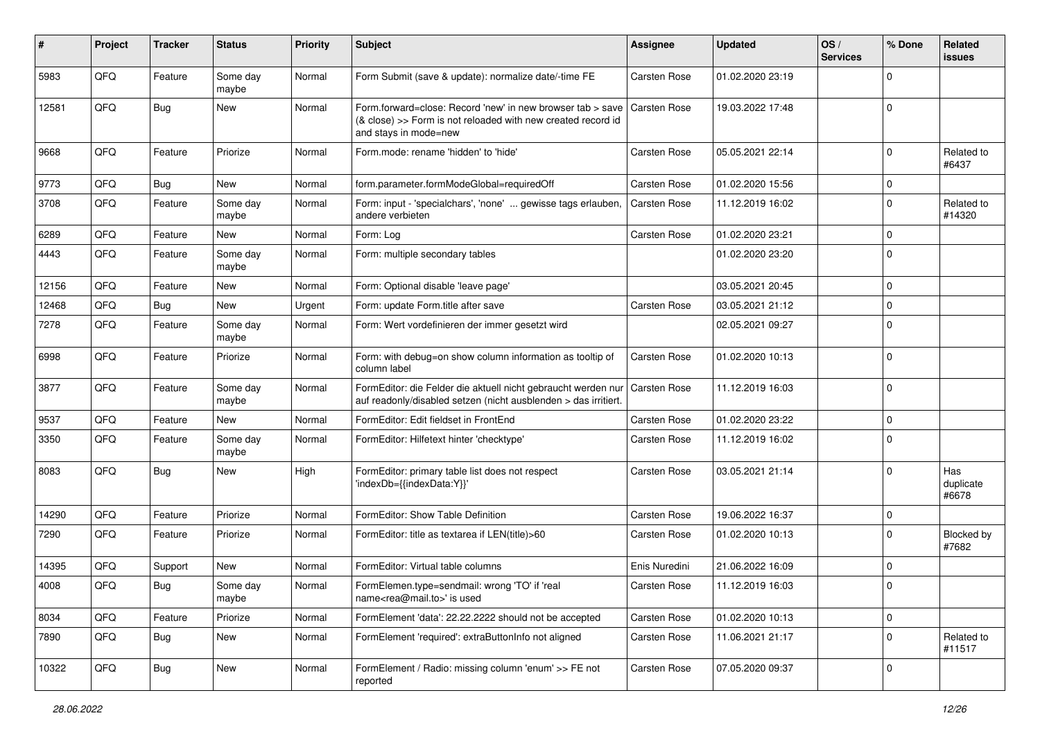| #     | Project | <b>Tracker</b> | <b>Status</b>     | <b>Priority</b> | Subject                                                                                                                                             | <b>Assignee</b>     | <b>Updated</b>   | OS/<br><b>Services</b> | % Done      | Related<br><b>issues</b>  |
|-------|---------|----------------|-------------------|-----------------|-----------------------------------------------------------------------------------------------------------------------------------------------------|---------------------|------------------|------------------------|-------------|---------------------------|
| 5983  | QFQ     | Feature        | Some day<br>maybe | Normal          | Form Submit (save & update): normalize date/-time FE                                                                                                | Carsten Rose        | 01.02.2020 23:19 |                        | $\Omega$    |                           |
| 12581 | QFQ     | Bug            | New               | Normal          | Form.forward=close: Record 'new' in new browser tab > save<br>(& close) >> Form is not reloaded with new created record id<br>and stays in mode=new | <b>Carsten Rose</b> | 19.03.2022 17:48 |                        | $\Omega$    |                           |
| 9668  | QFQ     | Feature        | Priorize          | Normal          | Form.mode: rename 'hidden' to 'hide'                                                                                                                | Carsten Rose        | 05.05.2021 22:14 |                        | $\Omega$    | Related to<br>#6437       |
| 9773  | QFQ     | <b>Bug</b>     | <b>New</b>        | Normal          | form.parameter.formModeGlobal=requiredOff                                                                                                           | Carsten Rose        | 01.02.2020 15:56 |                        | 0           |                           |
| 3708  | QFQ     | Feature        | Some day<br>maybe | Normal          | Form: input - 'specialchars', 'none'  gewisse tags erlauben,<br>andere verbieten                                                                    | <b>Carsten Rose</b> | 11.12.2019 16:02 |                        | $\Omega$    | Related to<br>#14320      |
| 6289  | QFQ     | Feature        | <b>New</b>        | Normal          | Form: Log                                                                                                                                           | Carsten Rose        | 01.02.2020 23:21 |                        | $\Omega$    |                           |
| 4443  | QFQ     | Feature        | Some day<br>maybe | Normal          | Form: multiple secondary tables                                                                                                                     |                     | 01.02.2020 23:20 |                        | $\mathbf 0$ |                           |
| 12156 | QFQ     | Feature        | New               | Normal          | Form: Optional disable 'leave page'                                                                                                                 |                     | 03.05.2021 20:45 |                        | $\mathbf 0$ |                           |
| 12468 | QFQ     | Bug            | New               | Urgent          | Form: update Form.title after save                                                                                                                  | <b>Carsten Rose</b> | 03.05.2021 21:12 |                        | $\Omega$    |                           |
| 7278  | QFQ     | Feature        | Some day<br>maybe | Normal          | Form: Wert vordefinieren der immer gesetzt wird                                                                                                     |                     | 02.05.2021 09:27 |                        | $\Omega$    |                           |
| 6998  | QFQ     | Feature        | Priorize          | Normal          | Form: with debug=on show column information as tooltip of<br>column label                                                                           | Carsten Rose        | 01.02.2020 10:13 |                        | $\Omega$    |                           |
| 3877  | QFQ     | Feature        | Some day<br>maybe | Normal          | FormEditor: die Felder die aktuell nicht gebraucht werden nur<br>auf readonly/disabled setzen (nicht ausblenden > das irritiert.                    | <b>Carsten Rose</b> | 11.12.2019 16:03 |                        | $\mathbf 0$ |                           |
| 9537  | QFQ     | Feature        | New               | Normal          | FormEditor: Edit fieldset in FrontEnd                                                                                                               | Carsten Rose        | 01.02.2020 23:22 |                        | $\mathbf 0$ |                           |
| 3350  | QFQ     | Feature        | Some day<br>maybe | Normal          | FormEditor: Hilfetext hinter 'checktype'                                                                                                            | Carsten Rose        | 11.12.2019 16:02 |                        | $\Omega$    |                           |
| 8083  | QFQ     | Bug            | New               | High            | FormEditor: primary table list does not respect<br>'indexDb={{indexData:Y}}'                                                                        | Carsten Rose        | 03.05.2021 21:14 |                        | $\Omega$    | Has<br>duplicate<br>#6678 |
| 14290 | QFQ     | Feature        | Priorize          | Normal          | FormEditor: Show Table Definition                                                                                                                   | Carsten Rose        | 19.06.2022 16:37 |                        | $\mathbf 0$ |                           |
| 7290  | QFQ     | Feature        | Priorize          | Normal          | FormEditor: title as textarea if LEN(title)>60                                                                                                      | <b>Carsten Rose</b> | 01.02.2020 10:13 |                        | $\Omega$    | Blocked by<br>#7682       |
| 14395 | QFQ     | Support        | New               | Normal          | FormEditor: Virtual table columns                                                                                                                   | Enis Nuredini       | 21.06.2022 16:09 |                        | $\mathbf 0$ |                           |
| 4008  | QFG     | Bug            | Some day<br>maybe | Normal          | FormElemen.type=sendmail: wrong 'TO' if 'real<br>name <rea@mail.to>' is used</rea@mail.to>                                                          | <b>Carsten Rose</b> | 11.12.2019 16:03 |                        | ١o          |                           |
| 8034  | QFQ     | Feature        | Priorize          | Normal          | FormElement 'data': 22.22.2222 should not be accepted                                                                                               | Carsten Rose        | 01.02.2020 10:13 |                        | $\mathbf 0$ |                           |
| 7890  | QFQ     | <b>Bug</b>     | New               | Normal          | FormElement 'required': extraButtonInfo not aligned                                                                                                 | Carsten Rose        | 11.06.2021 21:17 |                        | $\mathbf 0$ | Related to<br>#11517      |
| 10322 | QFO     | <b>Bug</b>     | New               | Normal          | FormElement / Radio: missing column 'enum' >> FE not<br>reported                                                                                    | Carsten Rose        | 07.05.2020 09:37 |                        | $\mathbf 0$ |                           |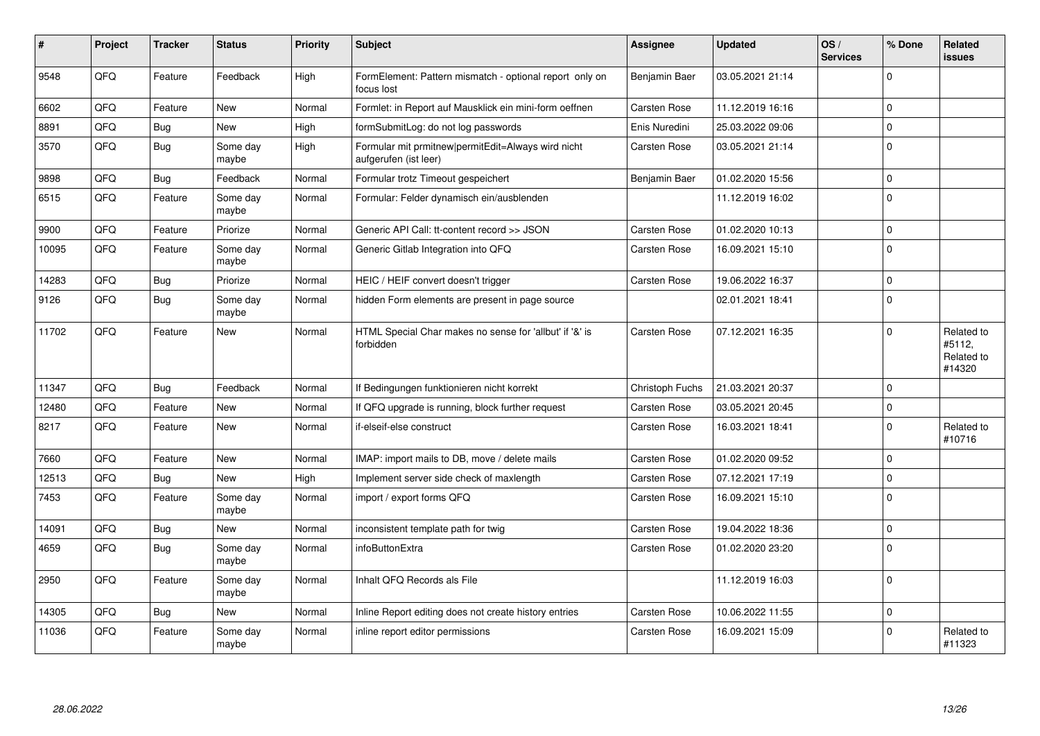| #     | <b>Project</b> | <b>Tracker</b> | <b>Status</b>     | <b>Priority</b> | <b>Subject</b>                                                              | <b>Assignee</b>     | <b>Updated</b>   | OS/<br><b>Services</b> | % Done       | <b>Related</b><br>issues                     |
|-------|----------------|----------------|-------------------|-----------------|-----------------------------------------------------------------------------|---------------------|------------------|------------------------|--------------|----------------------------------------------|
| 9548  | QFQ            | Feature        | Feedback          | High            | FormElement: Pattern mismatch - optional report only on<br>focus lost       | Benjamin Baer       | 03.05.2021 21:14 |                        | $\Omega$     |                                              |
| 6602  | QFQ            | Feature        | <b>New</b>        | Normal          | Formlet: in Report auf Mausklick ein mini-form oeffnen                      | <b>Carsten Rose</b> | 11.12.2019 16:16 |                        | $\Omega$     |                                              |
| 8891  | QFQ            | Bug            | New               | High            | formSubmitLog: do not log passwords                                         | Enis Nuredini       | 25.03.2022 09:06 |                        | $\Omega$     |                                              |
| 3570  | QFQ            | <b>Bug</b>     | Some day<br>maybe | High            | Formular mit prmitnew permitEdit=Always wird nicht<br>aufgerufen (ist leer) | Carsten Rose        | 03.05.2021 21:14 |                        | $\Omega$     |                                              |
| 9898  | QFQ            | <b>Bug</b>     | Feedback          | Normal          | Formular trotz Timeout gespeichert                                          | Benjamin Baer       | 01.02.2020 15:56 |                        | $\Omega$     |                                              |
| 6515  | QFQ            | Feature        | Some day<br>maybe | Normal          | Formular: Felder dynamisch ein/ausblenden                                   |                     | 11.12.2019 16:02 |                        | $\mathbf{0}$ |                                              |
| 9900  | QFQ            | Feature        | Priorize          | Normal          | Generic API Call: tt-content record >> JSON                                 | <b>Carsten Rose</b> | 01.02.2020 10:13 |                        | $\mathbf 0$  |                                              |
| 10095 | QFQ            | Feature        | Some day<br>maybe | Normal          | Generic Gitlab Integration into QFQ                                         | Carsten Rose        | 16.09.2021 15:10 |                        | $\Omega$     |                                              |
| 14283 | QFQ            | <b>Bug</b>     | Priorize          | Normal          | HEIC / HEIF convert doesn't trigger                                         | Carsten Rose        | 19.06.2022 16:37 |                        | $\Omega$     |                                              |
| 9126  | QFQ            | Bug            | Some dav<br>maybe | Normal          | hidden Form elements are present in page source                             |                     | 02.01.2021 18:41 |                        | $\Omega$     |                                              |
| 11702 | QFQ            | Feature        | <b>New</b>        | Normal          | HTML Special Char makes no sense for 'allbut' if '&' is<br>forbidden        | <b>Carsten Rose</b> | 07.12.2021 16:35 |                        | $\Omega$     | Related to<br>#5112.<br>Related to<br>#14320 |
| 11347 | QFQ            | <b>Bug</b>     | Feedback          | Normal          | If Bedingungen funktionieren nicht korrekt                                  | Christoph Fuchs     | 21.03.2021 20:37 |                        | $\mathbf{0}$ |                                              |
| 12480 | QFQ            | Feature        | New               | Normal          | If QFQ upgrade is running, block further request                            | Carsten Rose        | 03.05.2021 20:45 |                        | $\mathbf{0}$ |                                              |
| 8217  | QFQ            | Feature        | New               | Normal          | if-elseif-else construct                                                    | Carsten Rose        | 16.03.2021 18:41 |                        | $\mathbf 0$  | Related to<br>#10716                         |
| 7660  | QFQ            | Feature        | <b>New</b>        | Normal          | IMAP: import mails to DB, move / delete mails                               | <b>Carsten Rose</b> | 01.02.2020 09:52 |                        | $\Omega$     |                                              |
| 12513 | QFQ            | Bug            | <b>New</b>        | High            | Implement server side check of maxlength                                    | Carsten Rose        | 07.12.2021 17:19 |                        | $\mathbf 0$  |                                              |
| 7453  | QFQ            | Feature        | Some day<br>maybe | Normal          | import / export forms QFQ                                                   | Carsten Rose        | 16.09.2021 15:10 |                        | $\Omega$     |                                              |
| 14091 | QFQ            | Bug            | <b>New</b>        | Normal          | inconsistent template path for twig                                         | <b>Carsten Rose</b> | 19.04.2022 18:36 |                        | $\mathbf 0$  |                                              |
| 4659  | QFQ            | <b>Bug</b>     | Some day<br>maybe | Normal          | infoButtonExtra                                                             | <b>Carsten Rose</b> | 01.02.2020 23:20 |                        | $\Omega$     |                                              |
| 2950  | QFQ            | Feature        | Some day<br>maybe | Normal          | Inhalt QFQ Records als File                                                 |                     | 11.12.2019 16:03 |                        | $\Omega$     |                                              |
| 14305 | QFQ            | Bug            | <b>New</b>        | Normal          | Inline Report editing does not create history entries                       | <b>Carsten Rose</b> | 10.06.2022 11:55 |                        | $\mathbf 0$  |                                              |
| 11036 | QFQ            | Feature        | Some day<br>maybe | Normal          | inline report editor permissions                                            | <b>Carsten Rose</b> | 16.09.2021 15:09 |                        | $\mathbf{0}$ | Related to<br>#11323                         |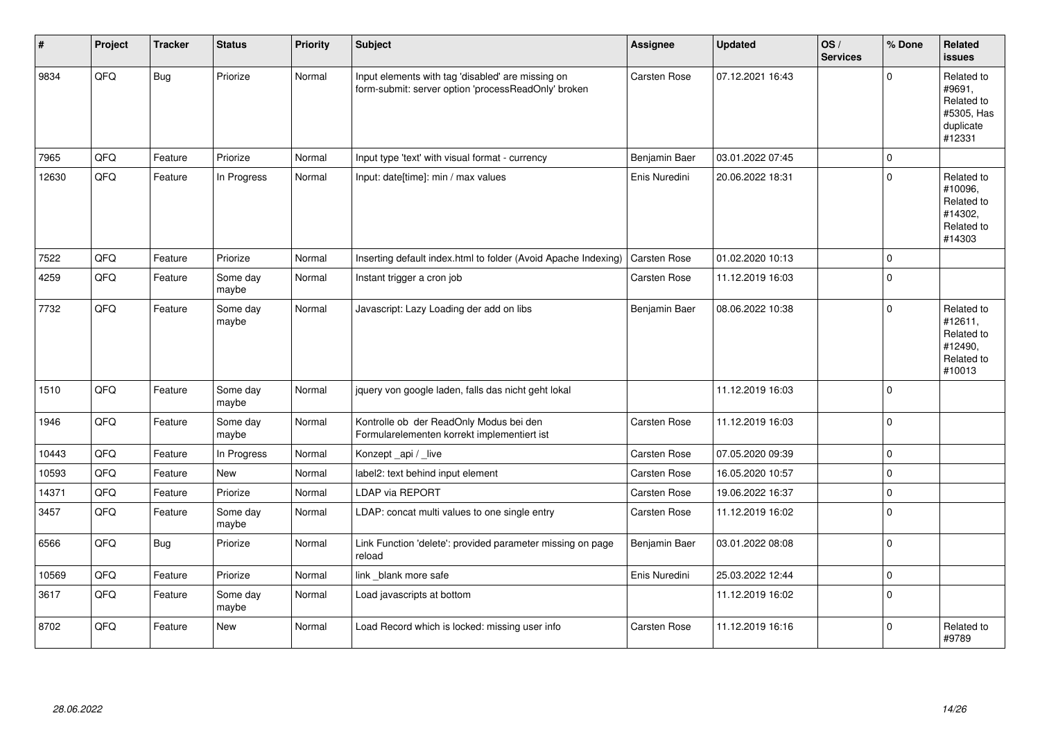| #     | Project | <b>Tracker</b> | <b>Status</b>     | <b>Priority</b> | <b>Subject</b>                                                                                           | <b>Assignee</b>     | <b>Updated</b>   | OS/<br><b>Services</b> | % Done      | Related<br><b>issues</b>                                                |
|-------|---------|----------------|-------------------|-----------------|----------------------------------------------------------------------------------------------------------|---------------------|------------------|------------------------|-------------|-------------------------------------------------------------------------|
| 9834  | QFQ     | <b>Bug</b>     | Priorize          | Normal          | Input elements with tag 'disabled' are missing on<br>form-submit: server option 'processReadOnly' broken | Carsten Rose        | 07.12.2021 16:43 |                        | $\Omega$    | Related to<br>#9691,<br>Related to<br>#5305, Has<br>duplicate<br>#12331 |
| 7965  | QFQ     | Feature        | Priorize          | Normal          | Input type 'text' with visual format - currency                                                          | Benjamin Baer       | 03.01.2022 07:45 |                        | $\Omega$    |                                                                         |
| 12630 | QFQ     | Feature        | In Progress       | Normal          | Input: date[time]: min / max values                                                                      | Enis Nuredini       | 20.06.2022 18:31 |                        | $\Omega$    | Related to<br>#10096,<br>Related to<br>#14302.<br>Related to<br>#14303  |
| 7522  | QFQ     | Feature        | Priorize          | Normal          | Inserting default index.html to folder (Avoid Apache Indexing)                                           | Carsten Rose        | 01.02.2020 10:13 |                        | $\Omega$    |                                                                         |
| 4259  | QFQ     | Feature        | Some day<br>maybe | Normal          | Instant trigger a cron job                                                                               | <b>Carsten Rose</b> | 11.12.2019 16:03 |                        | $\Omega$    |                                                                         |
| 7732  | QFQ     | Feature        | Some day<br>maybe | Normal          | Javascript: Lazy Loading der add on libs                                                                 | Benjamin Baer       | 08.06.2022 10:38 |                        | $\Omega$    | Related to<br>#12611,<br>Related to<br>#12490,<br>Related to<br>#10013  |
| 1510  | QFQ     | Feature        | Some day<br>maybe | Normal          | jquery von google laden, falls das nicht geht lokal                                                      |                     | 11.12.2019 16:03 |                        | $\Omega$    |                                                                         |
| 1946  | QFQ     | Feature        | Some day<br>maybe | Normal          | Kontrolle ob der ReadOnly Modus bei den<br>Formularelementen korrekt implementiert ist                   | Carsten Rose        | 11.12.2019 16:03 |                        | $\Omega$    |                                                                         |
| 10443 | QFQ     | Feature        | In Progress       | Normal          | Konzept_api / live                                                                                       | <b>Carsten Rose</b> | 07.05.2020 09:39 |                        | $\Omega$    |                                                                         |
| 10593 | QFQ     | Feature        | <b>New</b>        | Normal          | label2: text behind input element                                                                        | <b>Carsten Rose</b> | 16.05.2020 10:57 |                        | 0           |                                                                         |
| 14371 | QFQ     | Feature        | Priorize          | Normal          | <b>LDAP via REPORT</b>                                                                                   | Carsten Rose        | 19.06.2022 16:37 |                        | $\mathbf 0$ |                                                                         |
| 3457  | QFQ     | Feature        | Some day<br>maybe | Normal          | LDAP: concat multi values to one single entry                                                            | Carsten Rose        | 11.12.2019 16:02 |                        | $\Omega$    |                                                                         |
| 6566  | QFQ     | <b>Bug</b>     | Priorize          | Normal          | Link Function 'delete': provided parameter missing on page<br>reload                                     | Benjamin Baer       | 03.01.2022 08:08 |                        | $\mathbf 0$ |                                                                         |
| 10569 | QFQ     | Feature        | Priorize          | Normal          | link _blank more safe                                                                                    | Enis Nuredini       | 25.03.2022 12:44 |                        | $\mathbf 0$ |                                                                         |
| 3617  | QFQ     | Feature        | Some day<br>maybe | Normal          | Load javascripts at bottom                                                                               |                     | 11.12.2019 16:02 |                        | $\mathbf 0$ |                                                                         |
| 8702  | QFQ     | Feature        | <b>New</b>        | Normal          | Load Record which is locked: missing user info                                                           | <b>Carsten Rose</b> | 11.12.2019 16:16 |                        | $\mathbf 0$ | Related to<br>#9789                                                     |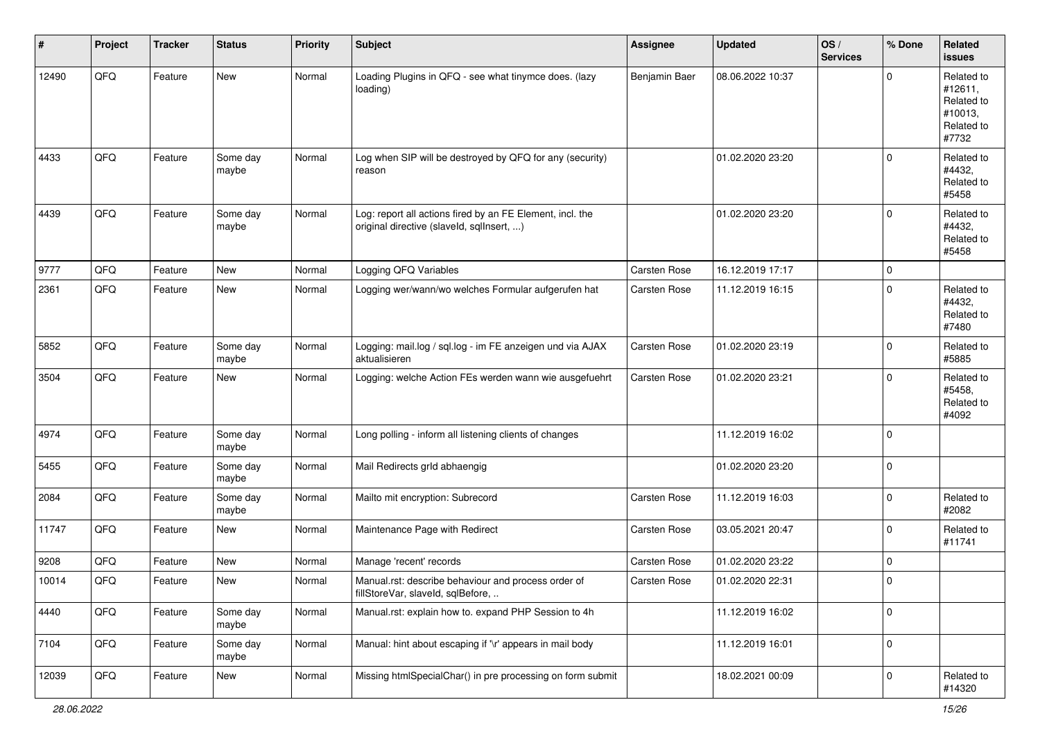| $\sharp$ | Project | <b>Tracker</b> | <b>Status</b>     | <b>Priority</b> | <b>Subject</b>                                                                                         | <b>Assignee</b> | <b>Updated</b>   | OS/<br><b>Services</b> | % Done      | Related<br><b>issues</b>                                              |
|----------|---------|----------------|-------------------|-----------------|--------------------------------------------------------------------------------------------------------|-----------------|------------------|------------------------|-------------|-----------------------------------------------------------------------|
| 12490    | QFQ     | Feature        | New               | Normal          | Loading Plugins in QFQ - see what tinymce does. (lazy<br>loading)                                      | Benjamin Baer   | 08.06.2022 10:37 |                        | $\mathbf 0$ | Related to<br>#12611,<br>Related to<br>#10013,<br>Related to<br>#7732 |
| 4433     | QFQ     | Feature        | Some day<br>maybe | Normal          | Log when SIP will be destroyed by QFQ for any (security)<br>reason                                     |                 | 01.02.2020 23:20 |                        | $\mathbf 0$ | Related to<br>#4432,<br>Related to<br>#5458                           |
| 4439     | QFQ     | Feature        | Some day<br>maybe | Normal          | Log: report all actions fired by an FE Element, incl. the<br>original directive (slaveld, sqllnsert, ) |                 | 01.02.2020 23:20 |                        | $\mathbf 0$ | Related to<br>#4432,<br>Related to<br>#5458                           |
| 9777     | QFQ     | Feature        | New               | Normal          | Logging QFQ Variables                                                                                  | Carsten Rose    | 16.12.2019 17:17 |                        | $\mathbf 0$ |                                                                       |
| 2361     | QFQ     | Feature        | New               | Normal          | Logging wer/wann/wo welches Formular aufgerufen hat                                                    | Carsten Rose    | 11.12.2019 16:15 |                        | $\mathbf 0$ | Related to<br>#4432,<br>Related to<br>#7480                           |
| 5852     | QFQ     | Feature        | Some day<br>maybe | Normal          | Logging: mail.log / sql.log - im FE anzeigen und via AJAX<br>aktualisieren                             | Carsten Rose    | 01.02.2020 23:19 |                        | $\mathbf 0$ | Related to<br>#5885                                                   |
| 3504     | QFQ     | Feature        | New               | Normal          | Logging: welche Action FEs werden wann wie ausgefuehrt                                                 | Carsten Rose    | 01.02.2020 23:21 |                        | $\mathbf 0$ | Related to<br>#5458,<br>Related to<br>#4092                           |
| 4974     | QFQ     | Feature        | Some day<br>maybe | Normal          | Long polling - inform all listening clients of changes                                                 |                 | 11.12.2019 16:02 |                        | $\mathbf 0$ |                                                                       |
| 5455     | QFQ     | Feature        | Some day<br>maybe | Normal          | Mail Redirects grld abhaengig                                                                          |                 | 01.02.2020 23:20 |                        | $\mathbf 0$ |                                                                       |
| 2084     | QFQ     | Feature        | Some day<br>maybe | Normal          | Mailto mit encryption: Subrecord                                                                       | Carsten Rose    | 11.12.2019 16:03 |                        | $\mathbf 0$ | Related to<br>#2082                                                   |
| 11747    | QFQ     | Feature        | New               | Normal          | Maintenance Page with Redirect                                                                         | Carsten Rose    | 03.05.2021 20:47 |                        | $\mathbf 0$ | Related to<br>#11741                                                  |
| 9208     | QFQ     | Feature        | New               | Normal          | Manage 'recent' records                                                                                | Carsten Rose    | 01.02.2020 23:22 |                        | $\mathbf 0$ |                                                                       |
| 10014    | QFQ     | Feature        | New               | Normal          | Manual.rst: describe behaviour and process order of<br>fillStoreVar, slaveId, sqlBefore,               | Carsten Rose    | 01.02.2020 22:31 |                        | $\mathbf 0$ |                                                                       |
| 4440     | QFQ     | Feature        | Some day<br>maybe | Normal          | Manual.rst: explain how to. expand PHP Session to 4h                                                   |                 | 11.12.2019 16:02 |                        | $\mathbf 0$ |                                                                       |
| 7104     | QFQ     | Feature        | Some day<br>maybe | Normal          | Manual: hint about escaping if '\r' appears in mail body                                               |                 | 11.12.2019 16:01 |                        | $\mathbf 0$ |                                                                       |
| 12039    | QFQ     | Feature        | New               | Normal          | Missing htmlSpecialChar() in pre processing on form submit                                             |                 | 18.02.2021 00:09 |                        | $\mathbf 0$ | Related to<br>#14320                                                  |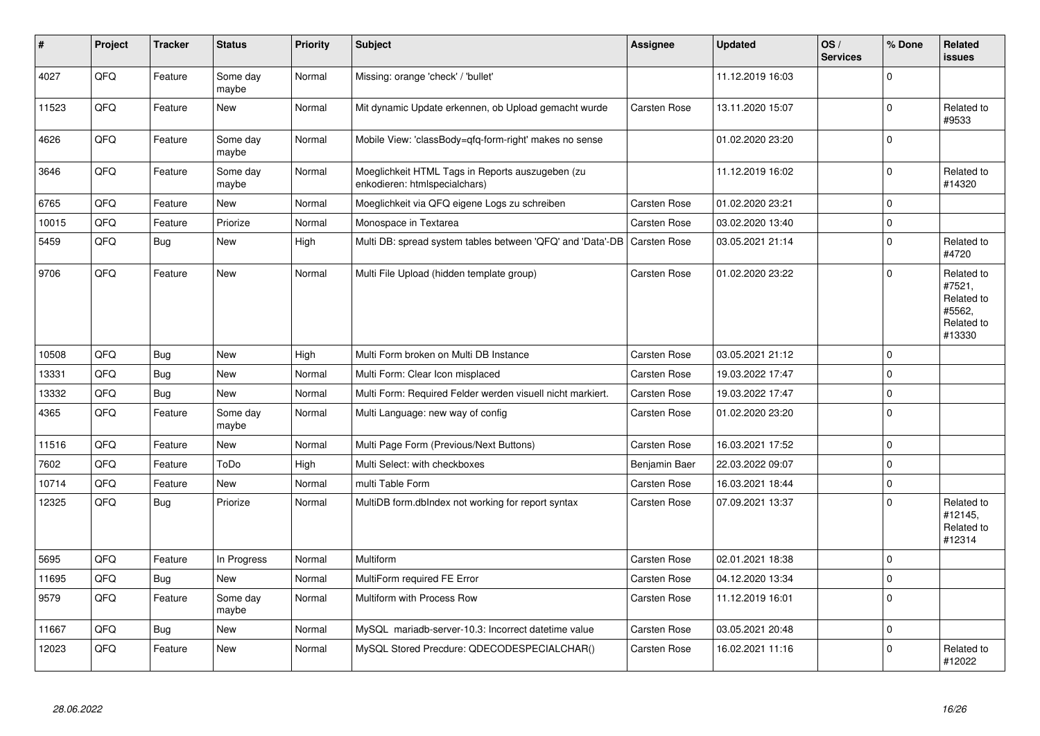| #     | Project | <b>Tracker</b> | <b>Status</b>     | <b>Priority</b> | <b>Subject</b>                                                                    | Assignee            | <b>Updated</b>   | OS/<br><b>Services</b> | % Done       | Related<br><b>issues</b>                                             |
|-------|---------|----------------|-------------------|-----------------|-----------------------------------------------------------------------------------|---------------------|------------------|------------------------|--------------|----------------------------------------------------------------------|
| 4027  | QFQ     | Feature        | Some day<br>maybe | Normal          | Missing: orange 'check' / 'bullet'                                                |                     | 11.12.2019 16:03 |                        | $\Omega$     |                                                                      |
| 11523 | QFQ     | Feature        | <b>New</b>        | Normal          | Mit dynamic Update erkennen, ob Upload gemacht wurde                              | Carsten Rose        | 13.11.2020 15:07 |                        | $\Omega$     | Related to<br>#9533                                                  |
| 4626  | QFQ     | Feature        | Some day<br>maybe | Normal          | Mobile View: 'classBody=qfq-form-right' makes no sense                            |                     | 01.02.2020 23:20 |                        | $\mathbf{0}$ |                                                                      |
| 3646  | QFQ     | Feature        | Some day<br>maybe | Normal          | Moeglichkeit HTML Tags in Reports auszugeben (zu<br>enkodieren: htmlspecialchars) |                     | 11.12.2019 16:02 |                        | $\Omega$     | Related to<br>#14320                                                 |
| 6765  | QFQ     | Feature        | New               | Normal          | Moeglichkeit via QFQ eigene Logs zu schreiben                                     | Carsten Rose        | 01.02.2020 23:21 |                        | $\Omega$     |                                                                      |
| 10015 | QFQ     | Feature        | Priorize          | Normal          | Monospace in Textarea                                                             | <b>Carsten Rose</b> | 03.02.2020 13:40 |                        | $\Omega$     |                                                                      |
| 5459  | QFQ     | Bug            | New               | High            | Multi DB: spread system tables between 'QFQ' and 'Data'-DB                        | <b>Carsten Rose</b> | 03.05.2021 21:14 |                        | $\mathbf 0$  | Related to<br>#4720                                                  |
| 9706  | QFQ     | Feature        | <b>New</b>        | Normal          | Multi File Upload (hidden template group)                                         | <b>Carsten Rose</b> | 01.02.2020 23:22 |                        | $\Omega$     | Related to<br>#7521,<br>Related to<br>#5562,<br>Related to<br>#13330 |
| 10508 | QFQ     | Bug            | <b>New</b>        | High            | Multi Form broken on Multi DB Instance                                            | <b>Carsten Rose</b> | 03.05.2021 21:12 |                        | $\Omega$     |                                                                      |
| 13331 | QFQ     | Bug            | <b>New</b>        | Normal          | Multi Form: Clear Icon misplaced                                                  | <b>Carsten Rose</b> | 19.03.2022 17:47 |                        | 0            |                                                                      |
| 13332 | QFQ     | Bug            | New               | Normal          | Multi Form: Required Felder werden visuell nicht markiert.                        | <b>Carsten Rose</b> | 19.03.2022 17:47 |                        | $\Omega$     |                                                                      |
| 4365  | QFQ     | Feature        | Some day<br>maybe | Normal          | Multi Language: new way of config                                                 | <b>Carsten Rose</b> | 01.02.2020 23:20 |                        | $\Omega$     |                                                                      |
| 11516 | QFQ     | Feature        | New               | Normal          | Multi Page Form (Previous/Next Buttons)                                           | <b>Carsten Rose</b> | 16.03.2021 17:52 |                        | $\Omega$     |                                                                      |
| 7602  | QFQ     | Feature        | ToDo              | High            | Multi Select: with checkboxes                                                     | Benjamin Baer       | 22.03.2022 09:07 |                        | $\Omega$     |                                                                      |
| 10714 | QFQ     | Feature        | New               | Normal          | multi Table Form                                                                  | <b>Carsten Rose</b> | 16.03.2021 18:44 |                        | $\Omega$     |                                                                      |
| 12325 | QFQ     | <b>Bug</b>     | Priorize          | Normal          | MultiDB form.dblndex not working for report syntax                                | Carsten Rose        | 07.09.2021 13:37 |                        | $\Omega$     | Related to<br>#12145,<br>Related to<br>#12314                        |
| 5695  | QFQ     | Feature        | In Progress       | Normal          | Multiform                                                                         | <b>Carsten Rose</b> | 02.01.2021 18:38 |                        | $\Omega$     |                                                                      |
| 11695 | QFQ     | <b>Bug</b>     | New               | Normal          | MultiForm required FE Error                                                       | Carsten Rose        | 04.12.2020 13:34 |                        | $\Omega$     |                                                                      |
| 9579  | QFQ     | Feature        | Some day<br>maybe | Normal          | Multiform with Process Row                                                        | <b>Carsten Rose</b> | 11.12.2019 16:01 |                        | $\mathbf{0}$ |                                                                      |
| 11667 | QFQ     | Bug            | New               | Normal          | MySQL mariadb-server-10.3: Incorrect datetime value                               | Carsten Rose        | 03.05.2021 20:48 |                        | l 0          |                                                                      |
| 12023 | QFQ     | Feature        | New               | Normal          | MySQL Stored Precdure: QDECODESPECIALCHAR()                                       | <b>Carsten Rose</b> | 16.02.2021 11:16 |                        | $\Omega$     | Related to<br>#12022                                                 |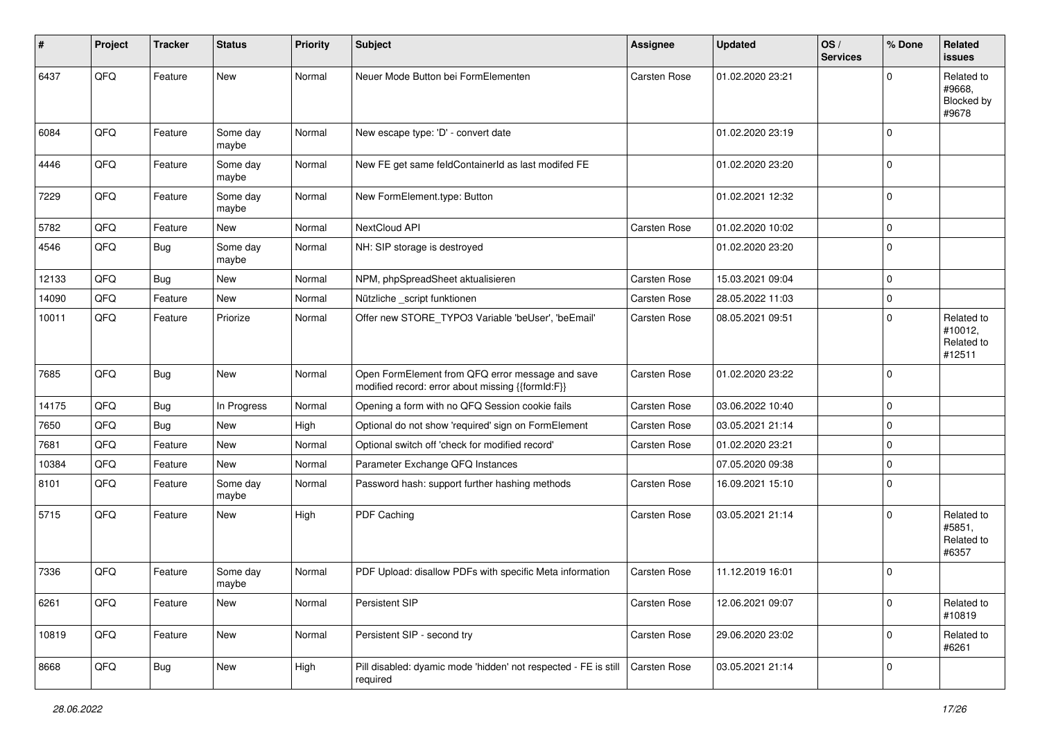| $\vert$ # | Project | <b>Tracker</b> | <b>Status</b>     | <b>Priority</b> | <b>Subject</b>                                                                                        | Assignee            | <b>Updated</b>   | OS/<br><b>Services</b> | % Done      | Related<br><b>issues</b>                      |
|-----------|---------|----------------|-------------------|-----------------|-------------------------------------------------------------------------------------------------------|---------------------|------------------|------------------------|-------------|-----------------------------------------------|
| 6437      | QFQ     | Feature        | New               | Normal          | Neuer Mode Button bei FormElementen                                                                   | Carsten Rose        | 01.02.2020 23:21 |                        | $\Omega$    | Related to<br>#9668,<br>Blocked by<br>#9678   |
| 6084      | QFQ     | Feature        | Some day<br>maybe | Normal          | New escape type: 'D' - convert date                                                                   |                     | 01.02.2020 23:19 |                        | $\Omega$    |                                               |
| 4446      | QFQ     | Feature        | Some day<br>maybe | Normal          | New FE get same feldContainerId as last modifed FE                                                    |                     | 01.02.2020 23:20 |                        | $\mathbf 0$ |                                               |
| 7229      | QFQ     | Feature        | Some day<br>maybe | Normal          | New FormElement.type: Button                                                                          |                     | 01.02.2021 12:32 |                        | $\mathbf 0$ |                                               |
| 5782      | QFQ     | Feature        | <b>New</b>        | Normal          | NextCloud API                                                                                         | Carsten Rose        | 01.02.2020 10:02 |                        | $\mathbf 0$ |                                               |
| 4546      | QFQ     | <b>Bug</b>     | Some day<br>maybe | Normal          | NH: SIP storage is destroyed                                                                          |                     | 01.02.2020 23:20 |                        | $\Omega$    |                                               |
| 12133     | QFQ     | <b>Bug</b>     | New               | Normal          | NPM, phpSpreadSheet aktualisieren                                                                     | Carsten Rose        | 15.03.2021 09:04 |                        | $\mathbf 0$ |                                               |
| 14090     | QFQ     | Feature        | <b>New</b>        | Normal          | Nützliche _script funktionen                                                                          | Carsten Rose        | 28.05.2022 11:03 |                        | $\mathbf 0$ |                                               |
| 10011     | QFQ     | Feature        | Priorize          | Normal          | Offer new STORE_TYPO3 Variable 'beUser', 'beEmail'                                                    | Carsten Rose        | 08.05.2021 09:51 |                        | $\Omega$    | Related to<br>#10012,<br>Related to<br>#12511 |
| 7685      | QFQ     | <b>Bug</b>     | <b>New</b>        | Normal          | Open FormElement from QFQ error message and save<br>modified record: error about missing {{formId:F}} | <b>Carsten Rose</b> | 01.02.2020 23:22 |                        | $\mathbf 0$ |                                               |
| 14175     | QFQ     | <b>Bug</b>     | In Progress       | Normal          | Opening a form with no QFQ Session cookie fails                                                       | Carsten Rose        | 03.06.2022 10:40 |                        | $\mathbf 0$ |                                               |
| 7650      | QFQ     | <b>Bug</b>     | New               | High            | Optional do not show 'required' sign on FormElement                                                   | Carsten Rose        | 03.05.2021 21:14 |                        | $\mathbf 0$ |                                               |
| 7681      | QFQ     | Feature        | New               | Normal          | Optional switch off 'check for modified record'                                                       | Carsten Rose        | 01.02.2020 23:21 |                        | $\mathbf 0$ |                                               |
| 10384     | QFQ     | Feature        | New               | Normal          | Parameter Exchange QFQ Instances                                                                      |                     | 07.05.2020 09:38 |                        | $\mathbf 0$ |                                               |
| 8101      | QFQ     | Feature        | Some day<br>maybe | Normal          | Password hash: support further hashing methods                                                        | Carsten Rose        | 16.09.2021 15:10 |                        | $\Omega$    |                                               |
| 5715      | QFQ     | Feature        | <b>New</b>        | High            | PDF Caching                                                                                           | Carsten Rose        | 03.05.2021 21:14 |                        | $\Omega$    | Related to<br>#5851,<br>Related to<br>#6357   |
| 7336      | QFQ     | Feature        | Some day<br>maybe | Normal          | PDF Upload: disallow PDFs with specific Meta information                                              | Carsten Rose        | 11.12.2019 16:01 |                        | $\mathbf 0$ |                                               |
| 6261      | QFQ     | Feature        | New               | Normal          | Persistent SIP                                                                                        | Carsten Rose        | 12.06.2021 09:07 |                        | $\mathbf 0$ | Related to<br>#10819                          |
| 10819     | QFQ     | Feature        | New               | Normal          | Persistent SIP - second try                                                                           | Carsten Rose        | 29.06.2020 23:02 |                        | $\mathbf 0$ | Related to<br>#6261                           |
| 8668      | QFQ     | <b>Bug</b>     | New               | High            | Pill disabled: dyamic mode 'hidden' not respected - FE is still<br>required                           | Carsten Rose        | 03.05.2021 21:14 |                        | $\mathbf 0$ |                                               |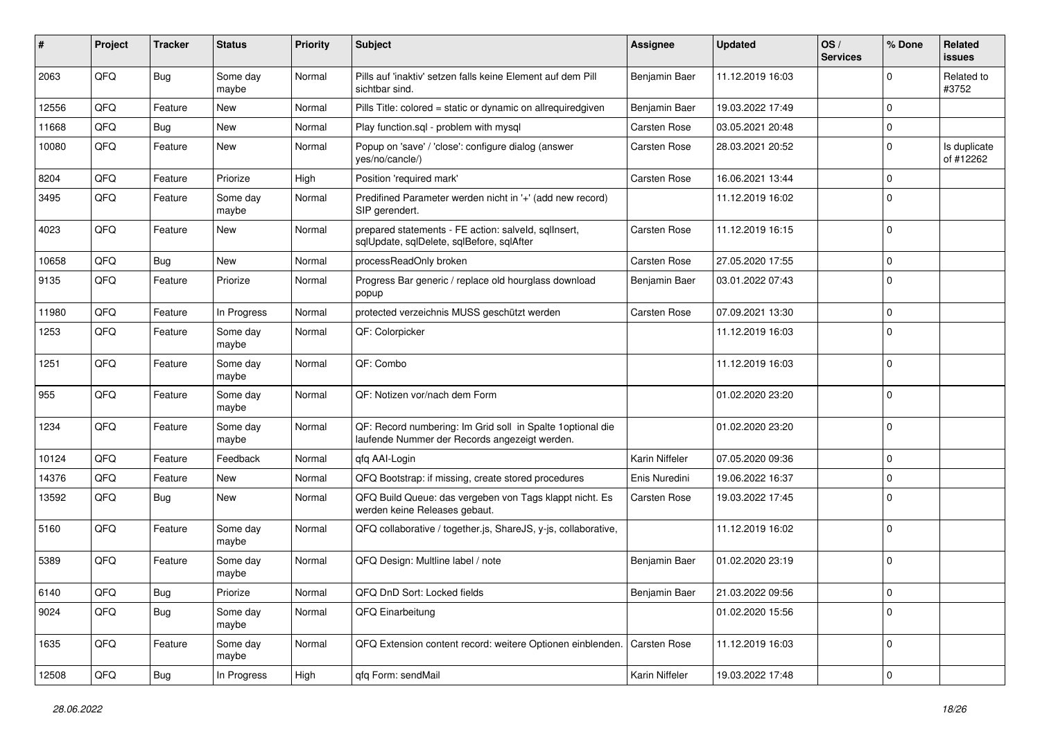| #     | Project | <b>Tracker</b> | <b>Status</b>     | <b>Priority</b> | <b>Subject</b>                                                                                               | <b>Assignee</b>     | <b>Updated</b>   | OS/<br><b>Services</b> | % Done              | Related<br>issues         |
|-------|---------|----------------|-------------------|-----------------|--------------------------------------------------------------------------------------------------------------|---------------------|------------------|------------------------|---------------------|---------------------------|
| 2063  | QFQ     | Bug            | Some day<br>maybe | Normal          | Pills auf 'inaktiv' setzen falls keine Element auf dem Pill<br>sichtbar sind.                                | Benjamin Baer       | 11.12.2019 16:03 |                        | $\Omega$            | Related to<br>#3752       |
| 12556 | QFQ     | Feature        | New               | Normal          | Pills Title: colored = static or dynamic on allrequiredgiven                                                 | Benjamin Baer       | 19.03.2022 17:49 |                        | $\mathbf 0$         |                           |
| 11668 | QFQ     | Bug            | <b>New</b>        | Normal          | Play function.sql - problem with mysql                                                                       | <b>Carsten Rose</b> | 03.05.2021 20:48 |                        | 0                   |                           |
| 10080 | QFQ     | Feature        | <b>New</b>        | Normal          | Popup on 'save' / 'close': configure dialog (answer<br>yes/no/cancle/)                                       | <b>Carsten Rose</b> | 28.03.2021 20:52 |                        | $\mathbf 0$         | Is duplicate<br>of #12262 |
| 8204  | QFQ     | Feature        | Priorize          | High            | Position 'required mark'                                                                                     | <b>Carsten Rose</b> | 16.06.2021 13:44 |                        | $\mathbf 0$         |                           |
| 3495  | QFQ     | Feature        | Some day<br>maybe | Normal          | Predifined Parameter werden nicht in '+' (add new record)<br>SIP gerendert.                                  |                     | 11.12.2019 16:02 |                        | $\Omega$            |                           |
| 4023  | QFQ     | Feature        | <b>New</b>        | Normal          | prepared statements - FE action: salveld, sqlInsert,<br>sqlUpdate, sqlDelete, sqlBefore, sqlAfter            | <b>Carsten Rose</b> | 11.12.2019 16:15 |                        | $\Omega$            |                           |
| 10658 | QFQ     | Bug            | New               | Normal          | processReadOnly broken                                                                                       | <b>Carsten Rose</b> | 27.05.2020 17:55 |                        | $\mathbf 0$         |                           |
| 9135  | QFQ     | Feature        | Priorize          | Normal          | Progress Bar generic / replace old hourglass download<br>popup                                               | Benjamin Baer       | 03.01.2022 07:43 |                        | $\Omega$            |                           |
| 11980 | QFQ     | Feature        | In Progress       | Normal          | protected verzeichnis MUSS geschützt werden                                                                  | <b>Carsten Rose</b> | 07.09.2021 13:30 |                        | $\mathbf 0$         |                           |
| 1253  | QFQ     | Feature        | Some day<br>maybe | Normal          | QF: Colorpicker                                                                                              |                     | 11.12.2019 16:03 |                        | $\mathbf 0$         |                           |
| 1251  | QFQ     | Feature        | Some day<br>maybe | Normal          | QF: Combo                                                                                                    |                     | 11.12.2019 16:03 |                        | $\mathbf{0}$        |                           |
| 955   | QFQ     | Feature        | Some day<br>maybe | Normal          | QF: Notizen vor/nach dem Form                                                                                |                     | 01.02.2020 23:20 |                        | $\mathbf 0$         |                           |
| 1234  | QFQ     | Feature        | Some day<br>maybe | Normal          | QF: Record numbering: Im Grid soll in Spalte 1 optional die<br>laufende Nummer der Records angezeigt werden. |                     | 01.02.2020 23:20 |                        | $\Omega$            |                           |
| 10124 | QFQ     | Feature        | Feedback          | Normal          | qfq AAI-Login                                                                                                | Karin Niffeler      | 07.05.2020 09:36 |                        | $\mathbf 0$         |                           |
| 14376 | QFQ     | Feature        | New               | Normal          | QFQ Bootstrap: if missing, create stored procedures                                                          | Enis Nuredini       | 19.06.2022 16:37 |                        | $\mathbf 0$         |                           |
| 13592 | QFQ     | Bug            | <b>New</b>        | Normal          | QFQ Build Queue: das vergeben von Tags klappt nicht. Es<br>werden keine Releases gebaut.                     | <b>Carsten Rose</b> | 19.03.2022 17:45 |                        | $\Omega$            |                           |
| 5160  | QFQ     | Feature        | Some day<br>maybe | Normal          | QFQ collaborative / together.js, ShareJS, y-js, collaborative,                                               |                     | 11.12.2019 16:02 |                        | $\mathbf 0$         |                           |
| 5389  | QFQ     | Feature        | Some day<br>maybe | Normal          | QFQ Design: Multline label / note                                                                            | Benjamin Baer       | 01.02.2020 23:19 |                        | $\Omega$            |                           |
| 6140  | QFQ     | <b>Bug</b>     | Priorize          | Normal          | QFQ DnD Sort: Locked fields                                                                                  | Benjamin Baer       | 21.03.2022 09:56 |                        | 0                   |                           |
| 9024  | QFQ     | Bug            | Some day<br>maybe | Normal          | QFQ Einarbeitung                                                                                             |                     | 01.02.2020 15:56 |                        | $\mathbf 0$         |                           |
| 1635  | QFQ     | Feature        | Some day<br>maybe | Normal          | QFQ Extension content record: weitere Optionen einblenden.                                                   | Carsten Rose        | 11.12.2019 16:03 |                        | $\mathbf 0$         |                           |
| 12508 | QFQ     | Bug            | In Progress       | High            | qfq Form: sendMail                                                                                           | Karin Niffeler      | 19.03.2022 17:48 |                        | $\mathsf{O}\xspace$ |                           |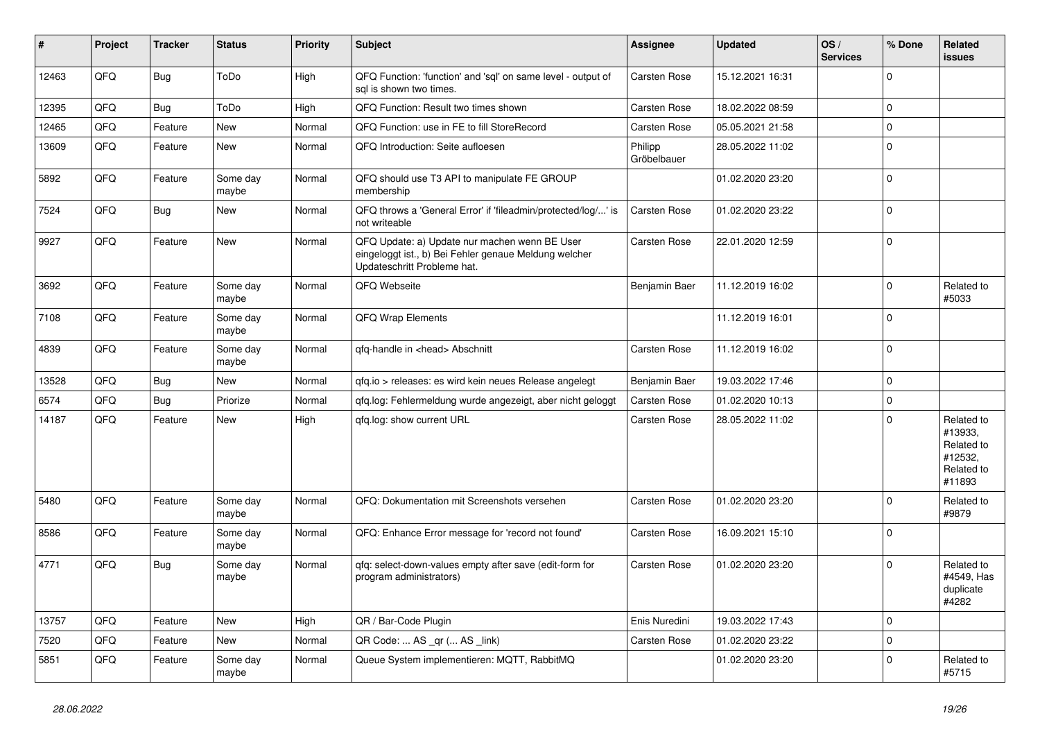| #     | Project | <b>Tracker</b> | <b>Status</b>     | <b>Priority</b> | <b>Subject</b>                                                                                                                        | <b>Assignee</b>        | <b>Updated</b>   | OS/<br><b>Services</b> | % Done       | Related<br>issues                                                      |
|-------|---------|----------------|-------------------|-----------------|---------------------------------------------------------------------------------------------------------------------------------------|------------------------|------------------|------------------------|--------------|------------------------------------------------------------------------|
| 12463 | QFQ     | Bug            | ToDo              | High            | QFQ Function: 'function' and 'sql' on same level - output of<br>sal is shown two times.                                               | <b>Carsten Rose</b>    | 15.12.2021 16:31 |                        | $\mathbf 0$  |                                                                        |
| 12395 | QFQ     | Bug            | ToDo              | High            | QFQ Function: Result two times shown                                                                                                  | <b>Carsten Rose</b>    | 18.02.2022 08:59 |                        | 0            |                                                                        |
| 12465 | QFQ     | Feature        | <b>New</b>        | Normal          | QFQ Function: use in FE to fill StoreRecord                                                                                           | <b>Carsten Rose</b>    | 05.05.2021 21:58 |                        | $\mathbf 0$  |                                                                        |
| 13609 | QFQ     | Feature        | New               | Normal          | QFQ Introduction: Seite aufloesen                                                                                                     | Philipp<br>Gröbelbauer | 28.05.2022 11:02 |                        | 0            |                                                                        |
| 5892  | QFQ     | Feature        | Some day<br>maybe | Normal          | QFQ should use T3 API to manipulate FE GROUP<br>membership                                                                            |                        | 01.02.2020 23:20 |                        | $\Omega$     |                                                                        |
| 7524  | QFQ     | Bug            | <b>New</b>        | Normal          | QFQ throws a 'General Error' if 'fileadmin/protected/log/' is<br>not writeable                                                        | <b>Carsten Rose</b>    | 01.02.2020 23:22 |                        | $\Omega$     |                                                                        |
| 9927  | QFQ     | Feature        | New               | Normal          | QFQ Update: a) Update nur machen wenn BE User<br>eingeloggt ist., b) Bei Fehler genaue Meldung welcher<br>Updateschritt Probleme hat. | <b>Carsten Rose</b>    | 22.01.2020 12:59 |                        | $\mathbf 0$  |                                                                        |
| 3692  | QFQ     | Feature        | Some day<br>maybe | Normal          | QFQ Webseite                                                                                                                          | Benjamin Baer          | 11.12.2019 16:02 |                        | $\Omega$     | Related to<br>#5033                                                    |
| 7108  | QFQ     | Feature        | Some day<br>maybe | Normal          | <b>QFQ Wrap Elements</b>                                                                                                              |                        | 11.12.2019 16:01 |                        | $\Omega$     |                                                                        |
| 4839  | QFQ     | Feature        | Some day<br>maybe | Normal          | qfq-handle in <head> Abschnitt</head>                                                                                                 | <b>Carsten Rose</b>    | 11.12.2019 16:02 |                        | $\Omega$     |                                                                        |
| 13528 | QFQ     | Bug            | <b>New</b>        | Normal          | qfq.io > releases: es wird kein neues Release angelegt                                                                                | Benjamin Baer          | 19.03.2022 17:46 |                        | $\pmb{0}$    |                                                                        |
| 6574  | QFQ     | Bug            | Priorize          | Normal          | qfq.log: Fehlermeldung wurde angezeigt, aber nicht geloggt                                                                            | Carsten Rose           | 01.02.2020 10:13 |                        | $\mathbf 0$  |                                                                        |
| 14187 | QFQ     | Feature        | <b>New</b>        | High            | qfq.log: show current URL                                                                                                             | <b>Carsten Rose</b>    | 28.05.2022 11:02 |                        | $\Omega$     | Related to<br>#13933,<br>Related to<br>#12532,<br>Related to<br>#11893 |
| 5480  | QFQ     | Feature        | Some day<br>maybe | Normal          | QFQ: Dokumentation mit Screenshots versehen                                                                                           | <b>Carsten Rose</b>    | 01.02.2020 23:20 |                        | $\Omega$     | Related to<br>#9879                                                    |
| 8586  | QFQ     | Feature        | Some day<br>maybe | Normal          | QFQ: Enhance Error message for 'record not found'                                                                                     | <b>Carsten Rose</b>    | 16.09.2021 15:10 |                        | $\mathbf{0}$ |                                                                        |
| 4771  | QFQ     | Bug            | Some day<br>maybe | Normal          | gfg: select-down-values empty after save (edit-form for<br>program administrators)                                                    | <b>Carsten Rose</b>    | 01.02.2020 23:20 |                        | $\Omega$     | Related to<br>#4549, Has<br>duplicate<br>#4282                         |
| 13757 | QFQ     | Feature        | <b>New</b>        | High            | QR / Bar-Code Plugin                                                                                                                  | Enis Nuredini          | 19.03.2022 17:43 |                        | $\mathbf 0$  |                                                                        |
| 7520  | QFQ     | Feature        | <b>New</b>        | Normal          | QR Code:  AS _qr ( AS _link)                                                                                                          | <b>Carsten Rose</b>    | 01.02.2020 23:22 |                        | $\mathbf 0$  |                                                                        |
| 5851  | QFQ     | Feature        | Some day<br>maybe | Normal          | Queue System implementieren: MQTT, RabbitMQ                                                                                           |                        | 01.02.2020 23:20 |                        | $\Omega$     | Related to<br>#5715                                                    |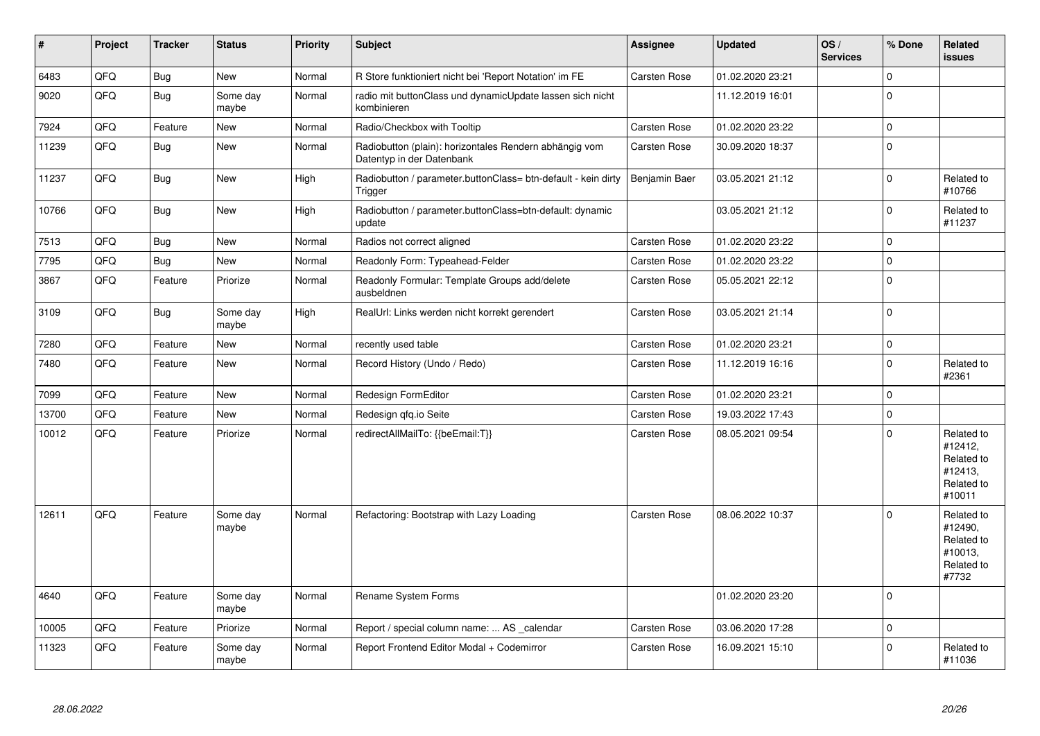| #     | <b>Project</b> | <b>Tracker</b> | <b>Status</b>     | <b>Priority</b> | <b>Subject</b>                                                                      | Assignee            | <b>Updated</b>   | OS/<br><b>Services</b> | % Done      | Related<br>issues                                                      |
|-------|----------------|----------------|-------------------|-----------------|-------------------------------------------------------------------------------------|---------------------|------------------|------------------------|-------------|------------------------------------------------------------------------|
| 6483  | QFQ            | Bug            | <b>New</b>        | Normal          | R Store funktioniert nicht bei 'Report Notation' im FE                              | <b>Carsten Rose</b> | 01.02.2020 23:21 |                        | $\Omega$    |                                                                        |
| 9020  | QFQ            | Bug            | Some day<br>maybe | Normal          | radio mit buttonClass und dynamicUpdate lassen sich nicht<br>kombinieren            |                     | 11.12.2019 16:01 |                        | $\Omega$    |                                                                        |
| 7924  | QFQ            | Feature        | <b>New</b>        | Normal          | Radio/Checkbox with Tooltip                                                         | Carsten Rose        | 01.02.2020 23:22 |                        | $\Omega$    |                                                                        |
| 11239 | QFQ            | Bug            | <b>New</b>        | Normal          | Radiobutton (plain): horizontales Rendern abhängig vom<br>Datentyp in der Datenbank | Carsten Rose        | 30.09.2020 18:37 |                        | $\Omega$    |                                                                        |
| 11237 | QFQ            | Bug            | <b>New</b>        | High            | Radiobutton / parameter.buttonClass= btn-default - kein dirty<br>Trigger            | Benjamin Baer       | 03.05.2021 21:12 |                        | $\Omega$    | Related to<br>#10766                                                   |
| 10766 | QFQ            | Bug            | New               | High            | Radiobutton / parameter.buttonClass=btn-default: dynamic<br>update                  |                     | 03.05.2021 21:12 |                        | $\mathbf 0$ | Related to<br>#11237                                                   |
| 7513  | QFQ            | Bug            | <b>New</b>        | Normal          | Radios not correct aligned                                                          | <b>Carsten Rose</b> | 01.02.2020 23:22 |                        | 0           |                                                                        |
| 7795  | QFQ            | Bug            | <b>New</b>        | Normal          | Readonly Form: Typeahead-Felder                                                     | Carsten Rose        | 01.02.2020 23:22 |                        | $\Omega$    |                                                                        |
| 3867  | QFQ            | Feature        | Priorize          | Normal          | Readonly Formular: Template Groups add/delete<br>ausbeldnen                         | <b>Carsten Rose</b> | 05.05.2021 22:12 |                        | $\Omega$    |                                                                        |
| 3109  | QFQ            | Bug            | Some day<br>maybe | High            | RealUrl: Links werden nicht korrekt gerendert                                       | Carsten Rose        | 03.05.2021 21:14 |                        | $\Omega$    |                                                                        |
| 7280  | QFQ            | Feature        | <b>New</b>        | Normal          | recently used table                                                                 | Carsten Rose        | 01.02.2020 23:21 |                        | 0           |                                                                        |
| 7480  | QFQ            | Feature        | <b>New</b>        | Normal          | Record History (Undo / Redo)                                                        | Carsten Rose        | 11.12.2019 16:16 |                        | $\Omega$    | Related to<br>#2361                                                    |
| 7099  | QFQ            | Feature        | <b>New</b>        | Normal          | Redesign FormEditor                                                                 | Carsten Rose        | 01.02.2020 23:21 |                        | $\Omega$    |                                                                        |
| 13700 | QFQ            | Feature        | <b>New</b>        | Normal          | Redesign qfq.io Seite                                                               | <b>Carsten Rose</b> | 19.03.2022 17:43 |                        | $\Omega$    |                                                                        |
| 10012 | QFQ            | Feature        | Priorize          | Normal          | redirectAllMailTo: {{beEmail:T}}                                                    | Carsten Rose        | 08.05.2021 09:54 |                        | $\Omega$    | Related to<br>#12412,<br>Related to<br>#12413.<br>Related to<br>#10011 |
| 12611 | QFQ            | Feature        | Some day<br>maybe | Normal          | Refactoring: Bootstrap with Lazy Loading                                            | <b>Carsten Rose</b> | 08.06.2022 10:37 |                        | $\Omega$    | Related to<br>#12490,<br>Related to<br>#10013,<br>Related to<br>#7732  |
| 4640  | QFQ            | Feature        | Some day<br>maybe | Normal          | Rename System Forms                                                                 |                     | 01.02.2020 23:20 |                        | $\Omega$    |                                                                        |
| 10005 | QFQ            | Feature        | Priorize          | Normal          | Report / special column name:  AS _calendar                                         | <b>Carsten Rose</b> | 03.06.2020 17:28 |                        | 0           |                                                                        |
| 11323 | QFQ            | Feature        | Some day<br>maybe | Normal          | Report Frontend Editor Modal + Codemirror                                           | Carsten Rose        | 16.09.2021 15:10 |                        | O           | Related to<br>#11036                                                   |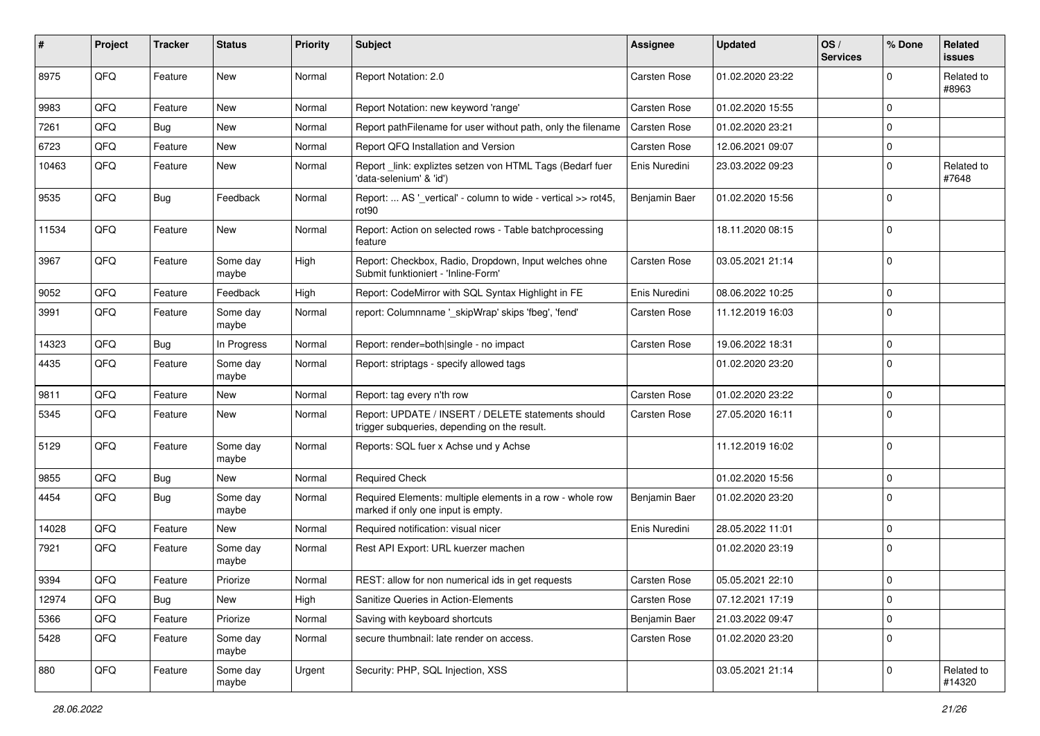| #     | <b>Project</b> | <b>Tracker</b> | <b>Status</b>     | <b>Priority</b> | <b>Subject</b>                                                                                     | <b>Assignee</b>     | <b>Updated</b>   | OS/<br><b>Services</b> | % Done       | Related<br>issues    |
|-------|----------------|----------------|-------------------|-----------------|----------------------------------------------------------------------------------------------------|---------------------|------------------|------------------------|--------------|----------------------|
| 8975  | QFQ            | Feature        | New               | Normal          | Report Notation: 2.0                                                                               | Carsten Rose        | 01.02.2020 23:22 |                        | $\Omega$     | Related to<br>#8963  |
| 9983  | QFQ            | Feature        | New               | Normal          | Report Notation: new keyword 'range'                                                               | Carsten Rose        | 01.02.2020 15:55 |                        | $\Omega$     |                      |
| 7261  | QFQ            | Bug            | New               | Normal          | Report pathFilename for user without path, only the filename                                       | Carsten Rose        | 01.02.2020 23:21 |                        | $\Omega$     |                      |
| 6723  | QFQ            | Feature        | New               | Normal          | Report QFQ Installation and Version                                                                | <b>Carsten Rose</b> | 12.06.2021 09:07 |                        | $\mathbf 0$  |                      |
| 10463 | QFQ            | Feature        | New               | Normal          | Report _link: expliztes setzen von HTML Tags (Bedarf fuer<br>'data-selenium' & 'id')               | Enis Nuredini       | 23.03.2022 09:23 |                        | $\mathbf 0$  | Related to<br>#7648  |
| 9535  | QFQ            | Bug            | Feedback          | Normal          | Report:  AS '_vertical' - column to wide - vertical >> rot45,<br>rot90                             | Benjamin Baer       | 01.02.2020 15:56 |                        | $\Omega$     |                      |
| 11534 | QFQ            | Feature        | New               | Normal          | Report: Action on selected rows - Table batchprocessing<br>feature                                 |                     | 18.11.2020 08:15 |                        | $\mathbf 0$  |                      |
| 3967  | QFQ            | Feature        | Some day<br>maybe | High            | Report: Checkbox, Radio, Dropdown, Input welches ohne<br>Submit funktioniert - 'Inline-Form'       | <b>Carsten Rose</b> | 03.05.2021 21:14 |                        | $\mathbf 0$  |                      |
| 9052  | QFQ            | Feature        | Feedback          | High            | Report: CodeMirror with SQL Syntax Highlight in FE                                                 | Enis Nuredini       | 08.06.2022 10:25 |                        | $\mathbf 0$  |                      |
| 3991  | QFQ            | Feature        | Some day<br>maybe | Normal          | report: Columnname '_skipWrap' skips 'fbeg', 'fend'                                                | <b>Carsten Rose</b> | 11.12.2019 16:03 |                        | $\mathbf{0}$ |                      |
| 14323 | QFQ            | Bug            | In Progress       | Normal          | Report: render=both single - no impact                                                             | <b>Carsten Rose</b> | 19.06.2022 18:31 |                        | $\mathbf 0$  |                      |
| 4435  | QFQ            | Feature        | Some day<br>maybe | Normal          | Report: striptags - specify allowed tags                                                           |                     | 01.02.2020 23:20 |                        | $\mathbf 0$  |                      |
| 9811  | QFQ            | Feature        | New               | Normal          | Report: tag every n'th row                                                                         | Carsten Rose        | 01.02.2020 23:22 |                        | $\mathbf 0$  |                      |
| 5345  | QFQ            | Feature        | New               | Normal          | Report: UPDATE / INSERT / DELETE statements should<br>trigger subqueries, depending on the result. | <b>Carsten Rose</b> | 27.05.2020 16:11 |                        | $\Omega$     |                      |
| 5129  | QFQ            | Feature        | Some day<br>maybe | Normal          | Reports: SQL fuer x Achse und y Achse                                                              |                     | 11.12.2019 16:02 |                        | $\mathbf{0}$ |                      |
| 9855  | QFQ            | Bug            | New               | Normal          | <b>Required Check</b>                                                                              |                     | 01.02.2020 15:56 |                        | $\mathbf 0$  |                      |
| 4454  | QFQ            | Bug            | Some day<br>maybe | Normal          | Required Elements: multiple elements in a row - whole row<br>marked if only one input is empty.    | Benjamin Baer       | 01.02.2020 23:20 |                        | $\Omega$     |                      |
| 14028 | QFQ            | Feature        | New               | Normal          | Required notification: visual nicer                                                                | Enis Nuredini       | 28.05.2022 11:01 |                        | $\mathbf 0$  |                      |
| 7921  | QFQ            | Feature        | Some day<br>maybe | Normal          | Rest API Export: URL kuerzer machen                                                                |                     | 01.02.2020 23:19 |                        | $\mathbf 0$  |                      |
| 9394  | QFQ            | Feature        | Priorize          | Normal          | REST: allow for non numerical ids in get requests                                                  | Carsten Rose        | 05.05.2021 22:10 |                        | $\mathbf 0$  |                      |
| 12974 | QFQ            | <b>Bug</b>     | New               | High            | Sanitize Queries in Action-Elements                                                                | Carsten Rose        | 07.12.2021 17:19 |                        | $\mathbf 0$  |                      |
| 5366  | QFQ            | Feature        | Priorize          | Normal          | Saving with keyboard shortcuts                                                                     | Benjamin Baer       | 21.03.2022 09:47 |                        | $\mathbf 0$  |                      |
| 5428  | QFQ            | Feature        | Some day<br>maybe | Normal          | secure thumbnail: late render on access.                                                           | Carsten Rose        | 01.02.2020 23:20 |                        | $\mathbf 0$  |                      |
| 880   | QFQ            | Feature        | Some day<br>maybe | Urgent          | Security: PHP, SQL Injection, XSS                                                                  |                     | 03.05.2021 21:14 |                        | 0            | Related to<br>#14320 |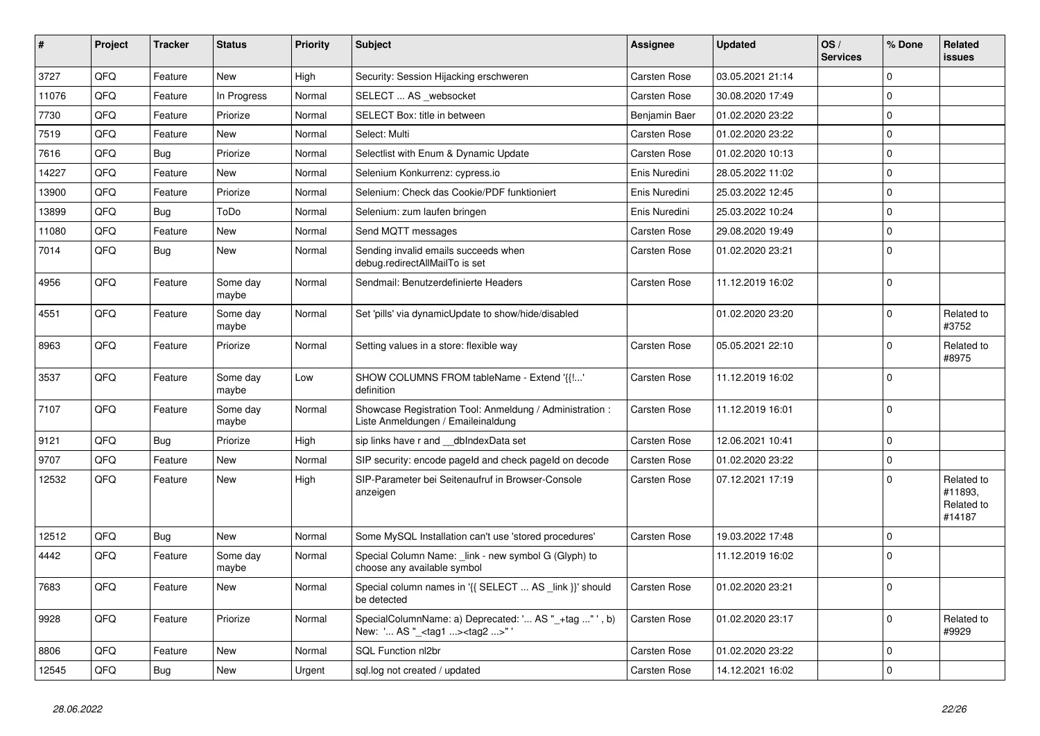| #     | Project | <b>Tracker</b> | <b>Status</b>     | Priority | <b>Subject</b>                                                                                      | <b>Assignee</b>     | <b>Updated</b>   | OS/<br><b>Services</b> | % Done      | Related<br>issues                             |
|-------|---------|----------------|-------------------|----------|-----------------------------------------------------------------------------------------------------|---------------------|------------------|------------------------|-------------|-----------------------------------------------|
| 3727  | QFQ     | Feature        | <b>New</b>        | High     | Security: Session Hijacking erschweren                                                              | Carsten Rose        | 03.05.2021 21:14 |                        | $\Omega$    |                                               |
| 11076 | QFQ     | Feature        | In Progress       | Normal   | SELECT  AS websocket                                                                                | Carsten Rose        | 30.08.2020 17:49 |                        | $\Omega$    |                                               |
| 7730  | QFQ     | Feature        | Priorize          | Normal   | SELECT Box: title in between                                                                        | Benjamin Baer       | 01.02.2020 23:22 |                        | $\Omega$    |                                               |
| 7519  | QFQ     | Feature        | New               | Normal   | Select: Multi                                                                                       | <b>Carsten Rose</b> | 01.02.2020 23:22 |                        | $\Omega$    |                                               |
| 7616  | QFQ     | Bug            | Priorize          | Normal   | Selectlist with Enum & Dynamic Update                                                               | <b>Carsten Rose</b> | 01.02.2020 10:13 |                        | $\Omega$    |                                               |
| 14227 | QFQ     | Feature        | New               | Normal   | Selenium Konkurrenz: cypress.io                                                                     | Enis Nuredini       | 28.05.2022 11:02 |                        | $\Omega$    |                                               |
| 13900 | QFQ     | Feature        | Priorize          | Normal   | Selenium: Check das Cookie/PDF funktioniert                                                         | Enis Nuredini       | 25.03.2022 12:45 |                        | $\Omega$    |                                               |
| 13899 | QFQ     | <b>Bug</b>     | ToDo              | Normal   | Selenium: zum laufen bringen                                                                        | Enis Nuredini       | 25.03.2022 10:24 |                        | $\Omega$    |                                               |
| 11080 | QFQ     | Feature        | New               | Normal   | Send MQTT messages                                                                                  | <b>Carsten Rose</b> | 29.08.2020 19:49 |                        | $\Omega$    |                                               |
| 7014  | QFQ     | Bug            | New               | Normal   | Sending invalid emails succeeds when<br>debug.redirectAllMailTo is set                              | Carsten Rose        | 01.02.2020 23:21 |                        | $\Omega$    |                                               |
| 4956  | QFQ     | Feature        | Some day<br>maybe | Normal   | Sendmail: Benutzerdefinierte Headers                                                                | Carsten Rose        | 11.12.2019 16:02 |                        | $\Omega$    |                                               |
| 4551  | QFQ     | Feature        | Some day<br>maybe | Normal   | Set 'pills' via dynamicUpdate to show/hide/disabled                                                 |                     | 01.02.2020 23:20 |                        | $\Omega$    | Related to<br>#3752                           |
| 8963  | QFQ     | Feature        | Priorize          | Normal   | Setting values in a store: flexible way                                                             | Carsten Rose        | 05.05.2021 22:10 |                        | $\Omega$    | Related to<br>#8975                           |
| 3537  | QFQ     | Feature        | Some day<br>maybe | Low      | SHOW COLUMNS FROM tableName - Extend '{{!'<br>definition                                            | Carsten Rose        | 11.12.2019 16:02 |                        | $\Omega$    |                                               |
| 7107  | QFQ     | Feature        | Some day<br>maybe | Normal   | Showcase Registration Tool: Anmeldung / Administration :<br>Liste Anmeldungen / Emaileinaldung      | Carsten Rose        | 11.12.2019 16:01 |                        | $\mathbf 0$ |                                               |
| 9121  | QFQ     | <b>Bug</b>     | Priorize          | High     | sip links have r and dbIndexData set                                                                | Carsten Rose        | 12.06.2021 10:41 |                        | $\Omega$    |                                               |
| 9707  | QFQ     | Feature        | New               | Normal   | SIP security: encode pageld and check pageld on decode                                              | <b>Carsten Rose</b> | 01.02.2020 23:22 |                        | $\Omega$    |                                               |
| 12532 | QFQ     | Feature        | New               | High     | SIP-Parameter bei Seitenaufruf in Browser-Console<br>anzeigen                                       | <b>Carsten Rose</b> | 07.12.2021 17:19 |                        | $\Omega$    | Related to<br>#11893,<br>Related to<br>#14187 |
| 12512 | QFQ     | <b>Bug</b>     | <b>New</b>        | Normal   | Some MySQL Installation can't use 'stored procedures'                                               | Carsten Rose        | 19.03.2022 17:48 |                        | $\mathbf 0$ |                                               |
| 4442  | QFQ     | Feature        | Some day<br>maybe | Normal   | Special Column Name: link - new symbol G (Glyph) to<br>choose any available symbol                  |                     | 11.12.2019 16:02 |                        | $\Omega$    |                                               |
| 7683  | QFQ     | Feature        | New               | Normal   | Special column names in '{{ SELECT  AS link }}' should<br>be detected                               | Carsten Rose        | 01.02.2020 23:21 |                        | $\Omega$    |                                               |
| 9928  | QFQ     | Feature        | Priorize          | Normal   | SpecialColumnName: a) Deprecated: ' AS "_+tag " ', b)<br>New: ' AS "_ <tag1><tag2>" '</tag2></tag1> | <b>Carsten Rose</b> | 01.02.2020 23:17 |                        | $\Omega$    | Related to<br>#9929                           |
| 8806  | QFQ     | Feature        | <b>New</b>        | Normal   | <b>SQL Function nl2br</b>                                                                           | Carsten Rose        | 01.02.2020 23:22 |                        | $\Omega$    |                                               |
| 12545 | QFQ     | Bug            | New               | Urgent   | sql.log not created / updated                                                                       | Carsten Rose        | 14.12.2021 16:02 |                        | $\Omega$    |                                               |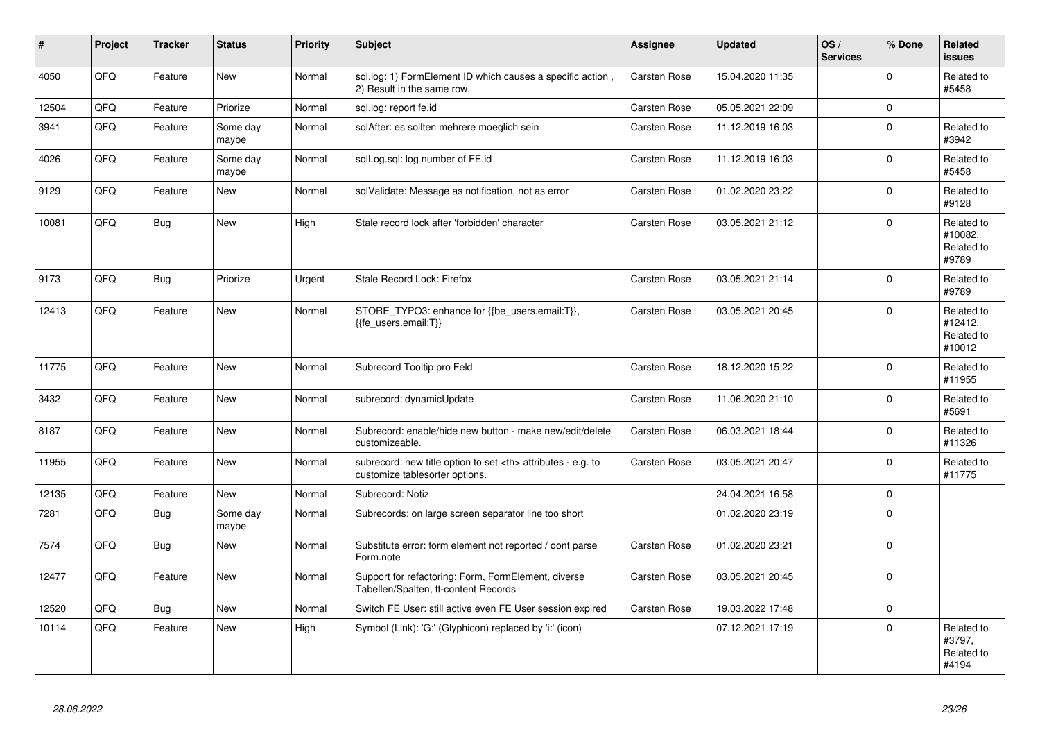| $\vert$ # | Project    | <b>Tracker</b> | <b>Status</b>     | <b>Priority</b> | <b>Subject</b>                                                                                       | Assignee                                               | <b>Updated</b>   | OS/<br><b>Services</b> | % Done              | Related<br><b>issues</b>                      |                      |
|-----------|------------|----------------|-------------------|-----------------|------------------------------------------------------------------------------------------------------|--------------------------------------------------------|------------------|------------------------|---------------------|-----------------------------------------------|----------------------|
| 4050      | QFQ        | Feature        | <b>New</b>        | Normal          | sql.log: 1) FormElement ID which causes a specific action,<br>2) Result in the same row.             | Carsten Rose                                           | 15.04.2020 11:35 |                        | $\Omega$            | Related to<br>#5458                           |                      |
| 12504     | QFQ        | Feature        | Priorize          | Normal          | sgl.log: report fe.id                                                                                | Carsten Rose                                           | 05.05.2021 22:09 |                        | $\mathbf{0}$        |                                               |                      |
| 3941      | QFQ        | Feature        | Some day<br>maybe | Normal          | sqlAfter: es sollten mehrere moeglich sein                                                           | Carsten Rose                                           | 11.12.2019 16:03 |                        | $\mathbf 0$         | Related to<br>#3942                           |                      |
| 4026      | QFQ        | Feature        | Some day<br>maybe | Normal          | sqlLog.sql: log number of FE.id                                                                      | Carsten Rose                                           | 11.12.2019 16:03 |                        | $\mathbf 0$         | Related to<br>#5458                           |                      |
| 9129      | QFQ        | Feature        | <b>New</b>        | Normal          | sglValidate: Message as notification, not as error                                                   | Carsten Rose                                           | 01.02.2020 23:22 |                        | $\mathbf 0$         | Related to<br>#9128                           |                      |
| 10081     | QFQ        | <b>Bug</b>     | New               | High            | Stale record lock after 'forbidden' character                                                        | Carsten Rose                                           | 03.05.2021 21:12 |                        | $\Omega$            | Related to<br>#10082,<br>Related to<br>#9789  |                      |
| 9173      | QFQ        | <b>Bug</b>     | Priorize          | Urgent          | Stale Record Lock: Firefox                                                                           | Carsten Rose                                           | 03.05.2021 21:14 |                        | $\mathbf{0}$        | Related to<br>#9789                           |                      |
| 12413     | QFQ        | Feature        | New               | Normal          | STORE TYPO3: enhance for {{be users.email:T}},<br>{{fe users.email:T}}                               | Carsten Rose                                           | 03.05.2021 20:45 |                        | $\mathbf 0$         | Related to<br>#12412,<br>Related to<br>#10012 |                      |
| 11775     | QFQ        | Feature        | <b>New</b>        | Normal          | Subrecord Tooltip pro Feld                                                                           | Carsten Rose                                           | 18.12.2020 15:22 |                        | $\mathbf 0$         | Related to<br>#11955                          |                      |
| 3432      | <b>OFO</b> | Feature        | New               | Normal          | subrecord: dynamicUpdate                                                                             | Carsten Rose                                           | 11.06.2020 21:10 |                        | $\Omega$            | Related to<br>#5691                           |                      |
| 8187      | QFQ        | Feature        | New               | Normal          | Subrecord: enable/hide new button - make new/edit/delete<br>customizeable.                           | Carsten Rose                                           | 06.03.2021 18:44 |                        | $\mathbf 0$         | Related to<br>#11326                          |                      |
| 11955     | QFQ        | Feature        | New               | Normal          | subrecord: new title option to set <th> attributes - e.g. to<br/>customize tablesorter options.</th> | attributes - e.g. to<br>customize tablesorter options. | Carsten Rose     | 03.05.2021 20:47       |                     | $\mathbf 0$                                   | Related to<br>#11775 |
| 12135     | QFQ        | Feature        | New               | Normal          | Subrecord: Notiz                                                                                     |                                                        | 24.04.2021 16:58 |                        | $\mathsf 0$         |                                               |                      |
| 7281      | QFQ        | <b>Bug</b>     | Some day<br>maybe | Normal          | Subrecords: on large screen separator line too short                                                 |                                                        | 01.02.2020 23:19 |                        | $\mathsf{O}\xspace$ |                                               |                      |
| 7574      | QFQ        | Bug            | New               | Normal          | Substitute error: form element not reported / dont parse<br>Form.note                                | Carsten Rose                                           | 01.02.2020 23:21 |                        | $\mathsf{O}\xspace$ |                                               |                      |
| 12477     | QFQ        | Feature        | <b>New</b>        | Normal          | Support for refactoring: Form, FormElement, diverse<br>Tabellen/Spalten, tt-content Records          | Carsten Rose                                           | 03.05.2021 20:45 |                        | $\mathsf 0$         |                                               |                      |
| 12520     | QFQ        | <b>Bug</b>     | <b>New</b>        | Normal          | Switch FE User: still active even FE User session expired                                            | Carsten Rose                                           | 19.03.2022 17:48 |                        | $\mathbf 0$         |                                               |                      |
| 10114     | QFQ        | Feature        | <b>New</b>        | High            | Symbol (Link): 'G:' (Glyphicon) replaced by 'i:' (icon)                                              |                                                        | 07.12.2021 17:19 |                        | $\mathbf 0$         | Related to<br>#3797,<br>Related to<br>#4194   |                      |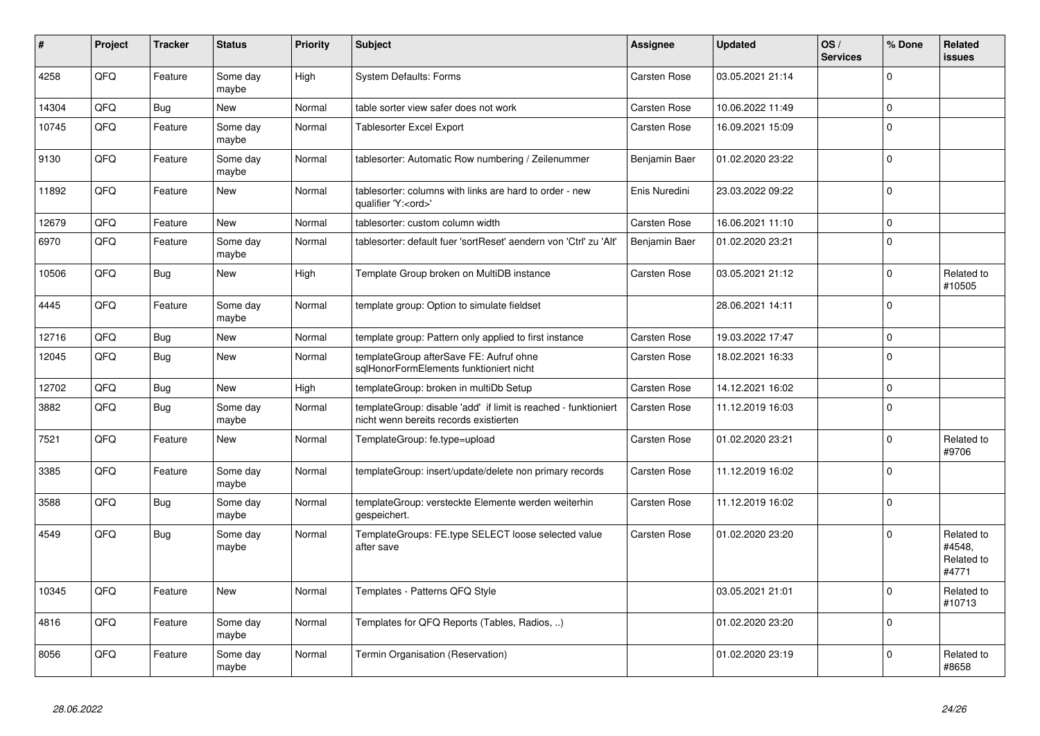| #     | Project    | <b>Tracker</b> | <b>Status</b>     | <b>Priority</b> | <b>Subject</b>                                                                                            | Assignee            | <b>Updated</b>   | OS/<br><b>Services</b> | % Done      | Related<br><b>issues</b>                    |
|-------|------------|----------------|-------------------|-----------------|-----------------------------------------------------------------------------------------------------------|---------------------|------------------|------------------------|-------------|---------------------------------------------|
| 4258  | QFQ        | Feature        | Some day<br>maybe | High            | <b>System Defaults: Forms</b>                                                                             | <b>Carsten Rose</b> | 03.05.2021 21:14 |                        | $\Omega$    |                                             |
| 14304 | QFQ        | Bug            | New               | Normal          | table sorter view safer does not work                                                                     | <b>Carsten Rose</b> | 10.06.2022 11:49 |                        | $\Omega$    |                                             |
| 10745 | QFQ        | Feature        | Some day<br>maybe | Normal          | <b>Tablesorter Excel Export</b>                                                                           | <b>Carsten Rose</b> | 16.09.2021 15:09 |                        | $\Omega$    |                                             |
| 9130  | QFQ        | Feature        | Some day<br>maybe | Normal          | tablesorter: Automatic Row numbering / Zeilenummer                                                        | Benjamin Baer       | 01.02.2020 23:22 |                        | $\Omega$    |                                             |
| 11892 | QFQ        | Feature        | <b>New</b>        | Normal          | tablesorter: columns with links are hard to order - new<br>qualifier 'Y: <ord>'</ord>                     | Enis Nuredini       | 23.03.2022 09:22 |                        | $\Omega$    |                                             |
| 12679 | QFQ        | Feature        | <b>New</b>        | Normal          | tablesorter: custom column width                                                                          | Carsten Rose        | 16.06.2021 11:10 |                        | $\Omega$    |                                             |
| 6970  | QFQ        | Feature        | Some day<br>maybe | Normal          | tablesorter: default fuer 'sortReset' aendern von 'Ctrl' zu 'Alt'                                         | Benjamin Baer       | 01.02.2020 23:21 |                        | $\Omega$    |                                             |
| 10506 | QFQ        | <b>Bug</b>     | <b>New</b>        | High            | Template Group broken on MultiDB instance                                                                 | <b>Carsten Rose</b> | 03.05.2021 21:12 |                        | $\Omega$    | Related to<br>#10505                        |
| 4445  | <b>OFO</b> | Feature        | Some day<br>maybe | Normal          | template group: Option to simulate fieldset                                                               |                     | 28.06.2021 14:11 |                        | $\Omega$    |                                             |
| 12716 | QFQ        | Bug            | <b>New</b>        | Normal          | template group: Pattern only applied to first instance                                                    | <b>Carsten Rose</b> | 19.03.2022 17:47 |                        | $\mathbf 0$ |                                             |
| 12045 | QFQ        | Bug            | <b>New</b>        | Normal          | templateGroup afterSave FE: Aufruf ohne<br>sglHonorFormElements funktioniert nicht                        | Carsten Rose        | 18.02.2021 16:33 |                        | $\Omega$    |                                             |
| 12702 | QFQ        | Bug            | New               | High            | templateGroup: broken in multiDb Setup                                                                    | Carsten Rose        | 14.12.2021 16:02 |                        | $\mathbf 0$ |                                             |
| 3882  | QFQ        | Bug            | Some day<br>maybe | Normal          | templateGroup: disable 'add' if limit is reached - funktioniert<br>nicht wenn bereits records existierten | <b>Carsten Rose</b> | 11.12.2019 16:03 |                        | $\mathbf 0$ |                                             |
| 7521  | QFQ        | Feature        | New               | Normal          | TemplateGroup: fe.type=upload                                                                             | <b>Carsten Rose</b> | 01.02.2020 23:21 |                        | $\Omega$    | Related to<br>#9706                         |
| 3385  | QFQ        | Feature        | Some day<br>maybe | Normal          | templateGroup: insert/update/delete non primary records                                                   | Carsten Rose        | 11.12.2019 16:02 |                        | $\Omega$    |                                             |
| 3588  | QFQ        | Bug            | Some day<br>maybe | Normal          | templateGroup: versteckte Elemente werden weiterhin<br>gespeichert.                                       | Carsten Rose        | 11.12.2019 16:02 |                        | $\Omega$    |                                             |
| 4549  | QFQ        | Bug            | Some day<br>maybe | Normal          | TemplateGroups: FE.type SELECT loose selected value<br>after save                                         | <b>Carsten Rose</b> | 01.02.2020 23:20 |                        | $\Omega$    | Related to<br>#4548,<br>Related to<br>#4771 |
| 10345 | QFQ        | Feature        | <b>New</b>        | Normal          | Templates - Patterns QFQ Style                                                                            |                     | 03.05.2021 21:01 |                        | $\Omega$    | Related to<br>#10713                        |
| 4816  | QFQ        | Feature        | Some day<br>maybe | Normal          | Templates for QFQ Reports (Tables, Radios, )                                                              |                     | 01.02.2020 23:20 |                        | $\Omega$    |                                             |
| 8056  | QFQ        | Feature        | Some day<br>maybe | Normal          | Termin Organisation (Reservation)                                                                         |                     | 01.02.2020 23:19 |                        | $\Omega$    | Related to<br>#8658                         |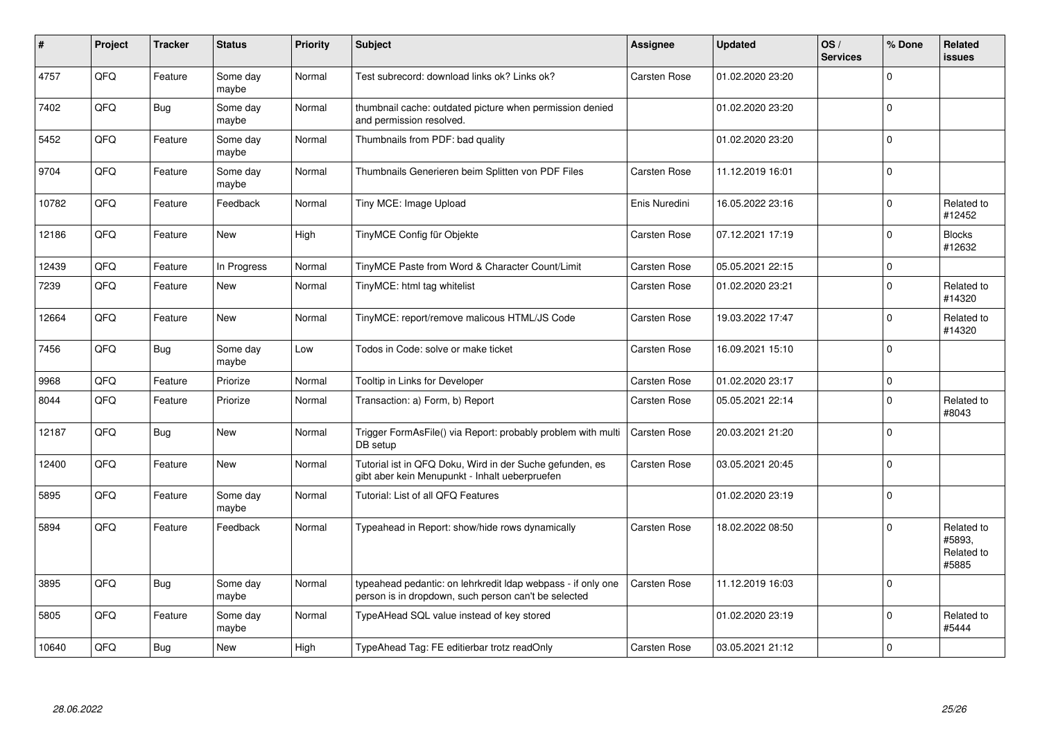| $\#$  | Project | <b>Tracker</b> | <b>Status</b>     | Priority | <b>Subject</b>                                                                                                       | Assignee            | <b>Updated</b>   | OS/<br><b>Services</b> | % Done      | Related<br><b>issues</b>                    |
|-------|---------|----------------|-------------------|----------|----------------------------------------------------------------------------------------------------------------------|---------------------|------------------|------------------------|-------------|---------------------------------------------|
| 4757  | QFQ     | Feature        | Some day<br>maybe | Normal   | Test subrecord: download links ok? Links ok?                                                                         | Carsten Rose        | 01.02.2020 23:20 |                        | $\Omega$    |                                             |
| 7402  | QFQ     | Bug            | Some day<br>maybe | Normal   | thumbnail cache: outdated picture when permission denied<br>and permission resolved.                                 |                     | 01.02.2020 23:20 |                        | $\Omega$    |                                             |
| 5452  | QFQ     | Feature        | Some day<br>maybe | Normal   | Thumbnails from PDF: bad quality                                                                                     |                     | 01.02.2020 23:20 |                        | $\Omega$    |                                             |
| 9704  | QFQ     | Feature        | Some day<br>maybe | Normal   | Thumbnails Generieren beim Splitten von PDF Files                                                                    | <b>Carsten Rose</b> | 11.12.2019 16:01 |                        | $\Omega$    |                                             |
| 10782 | QFQ     | Feature        | Feedback          | Normal   | Tiny MCE: Image Upload                                                                                               | Enis Nuredini       | 16.05.2022 23:16 |                        | $\mathbf 0$ | Related to<br>#12452                        |
| 12186 | QFQ     | Feature        | <b>New</b>        | High     | TinyMCE Config für Objekte                                                                                           | Carsten Rose        | 07.12.2021 17:19 |                        | $\Omega$    | <b>Blocks</b><br>#12632                     |
| 12439 | QFQ     | Feature        | In Progress       | Normal   | TinyMCE Paste from Word & Character Count/Limit                                                                      | <b>Carsten Rose</b> | 05.05.2021 22:15 |                        | $\mathbf 0$ |                                             |
| 7239  | QFQ     | Feature        | New               | Normal   | TinyMCE: html tag whitelist                                                                                          | <b>Carsten Rose</b> | 01.02.2020 23:21 |                        | $\Omega$    | Related to<br>#14320                        |
| 12664 | QFQ     | Feature        | <b>New</b>        | Normal   | TinyMCE: report/remove malicous HTML/JS Code                                                                         | Carsten Rose        | 19.03.2022 17:47 |                        | $\Omega$    | Related to<br>#14320                        |
| 7456  | QFQ     | <b>Bug</b>     | Some day<br>maybe | Low      | Todos in Code: solve or make ticket                                                                                  | Carsten Rose        | 16.09.2021 15:10 |                        | $\Omega$    |                                             |
| 9968  | QFQ     | Feature        | Priorize          | Normal   | Tooltip in Links for Developer                                                                                       | <b>Carsten Rose</b> | 01.02.2020 23:17 |                        | $\Omega$    |                                             |
| 8044  | QFQ     | Feature        | Priorize          | Normal   | Transaction: a) Form, b) Report                                                                                      | <b>Carsten Rose</b> | 05.05.2021 22:14 |                        | $\Omega$    | Related to<br>#8043                         |
| 12187 | QFQ     | Bug            | <b>New</b>        | Normal   | Trigger FormAsFile() via Report: probably problem with multi<br>DB setup                                             | <b>Carsten Rose</b> | 20.03.2021 21:20 |                        | $\Omega$    |                                             |
| 12400 | QFQ     | Feature        | New               | Normal   | Tutorial ist in QFQ Doku, Wird in der Suche gefunden, es<br>gibt aber kein Menupunkt - Inhalt ueberpruefen           | Carsten Rose        | 03.05.2021 20:45 |                        | $\Omega$    |                                             |
| 5895  | QFQ     | Feature        | Some day<br>maybe | Normal   | Tutorial: List of all QFQ Features                                                                                   |                     | 01.02.2020 23:19 |                        | $\Omega$    |                                             |
| 5894  | QFQ     | Feature        | Feedback          | Normal   | Typeahead in Report: show/hide rows dynamically                                                                      | <b>Carsten Rose</b> | 18.02.2022 08:50 |                        | $\Omega$    | Related to<br>#5893.<br>Related to<br>#5885 |
| 3895  | QFQ     | Bug            | Some day<br>maybe | Normal   | typeahead pedantic: on lehrkredit Idap webpass - if only one<br>person is in dropdown, such person can't be selected | Carsten Rose        | 11.12.2019 16:03 |                        | $\Omega$    |                                             |
| 5805  | QFQ     | Feature        | Some day<br>maybe | Normal   | TypeAHead SQL value instead of key stored                                                                            |                     | 01.02.2020 23:19 |                        | $\Omega$    | Related to<br>#5444                         |
| 10640 | QFQ     | Bug            | New               | High     | TypeAhead Tag: FE editierbar trotz readOnly                                                                          | <b>Carsten Rose</b> | 03.05.2021 21:12 |                        | $\Omega$    |                                             |